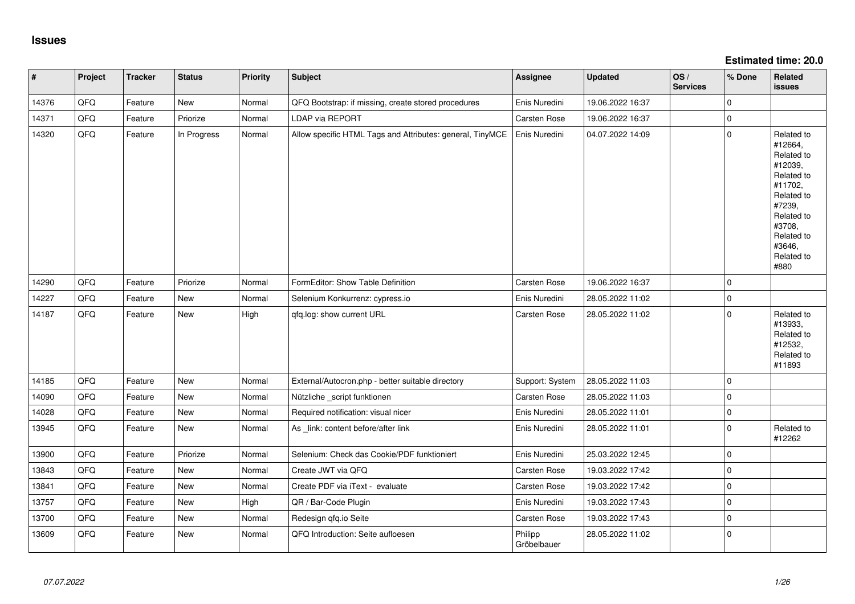**Estimated time: 20.0**

| $\vert$ # | Project | <b>Tracker</b> | <b>Status</b> | <b>Priority</b> | Subject                                                   | Assignee               | <b>Updated</b>   | OS/<br><b>Services</b> | % Done      | Related<br><b>issues</b>                                                                                                                                              |
|-----------|---------|----------------|---------------|-----------------|-----------------------------------------------------------|------------------------|------------------|------------------------|-------------|-----------------------------------------------------------------------------------------------------------------------------------------------------------------------|
| 14376     | QFQ     | Feature        | New           | Normal          | QFQ Bootstrap: if missing, create stored procedures       | Enis Nuredini          | 19.06.2022 16:37 |                        | $\mathbf 0$ |                                                                                                                                                                       |
| 14371     | QFQ     | Feature        | Priorize      | Normal          | <b>LDAP via REPORT</b>                                    | <b>Carsten Rose</b>    | 19.06.2022 16:37 |                        | $\mathbf 0$ |                                                                                                                                                                       |
| 14320     | QFQ     | Feature        | In Progress   | Normal          | Allow specific HTML Tags and Attributes: general, TinyMCE | Enis Nuredini          | 04.07.2022 14:09 |                        | $\pmb{0}$   | Related to<br>#12664,<br>Related to<br>#12039,<br>Related to<br>#11702,<br>Related to<br>#7239,<br>Related to<br>#3708,<br>Related to<br>#3646,<br>Related to<br>#880 |
| 14290     | QFQ     | Feature        | Priorize      | Normal          | FormEditor: Show Table Definition                         | Carsten Rose           | 19.06.2022 16:37 |                        | $\Omega$    |                                                                                                                                                                       |
| 14227     | QFQ     | Feature        | <b>New</b>    | Normal          | Selenium Konkurrenz: cypress.io                           | Enis Nuredini          | 28.05.2022 11:02 |                        | $\pmb{0}$   |                                                                                                                                                                       |
| 14187     | QFQ     | Feature        | <b>New</b>    | High            | qfq.log: show current URL                                 | Carsten Rose           | 28.05.2022 11:02 |                        | $\pmb{0}$   | Related to<br>#13933,<br>Related to<br>#12532,<br>Related to<br>#11893                                                                                                |
| 14185     | QFQ     | Feature        | <b>New</b>    | Normal          | External/Autocron.php - better suitable directory         | Support: System        | 28.05.2022 11:03 |                        | $\mathbf 0$ |                                                                                                                                                                       |
| 14090     | QFQ     | Feature        | <b>New</b>    | Normal          | Nützliche _script funktionen                              | Carsten Rose           | 28.05.2022 11:03 |                        | $\mathbf 0$ |                                                                                                                                                                       |
| 14028     | QFQ     | Feature        | New           | Normal          | Required notification: visual nicer                       | Enis Nuredini          | 28.05.2022 11:01 |                        | $\pmb{0}$   |                                                                                                                                                                       |
| 13945     | QFQ     | Feature        | New           | Normal          | As link: content before/after link                        | Enis Nuredini          | 28.05.2022 11:01 |                        | $\mathbf 0$ | Related to<br>#12262                                                                                                                                                  |
| 13900     | QFQ     | Feature        | Priorize      | Normal          | Selenium: Check das Cookie/PDF funktioniert               | Enis Nuredini          | 25.03.2022 12:45 |                        | $\mathbf 0$ |                                                                                                                                                                       |
| 13843     | QFQ     | Feature        | <b>New</b>    | Normal          | Create JWT via QFQ                                        | <b>Carsten Rose</b>    | 19.03.2022 17:42 |                        | $\mathbf 0$ |                                                                                                                                                                       |
| 13841     | QFQ     | Feature        | New           | Normal          | Create PDF via iText - evaluate                           | <b>Carsten Rose</b>    | 19.03.2022 17:42 |                        | $\mathbf 0$ |                                                                                                                                                                       |
| 13757     | QFQ     | Feature        | New           | High            | QR / Bar-Code Plugin                                      | Enis Nuredini          | 19.03.2022 17:43 |                        | $\mathbf 0$ |                                                                                                                                                                       |
| 13700     | QFQ     | Feature        | New           | Normal          | Redesign qfq.io Seite                                     | <b>Carsten Rose</b>    | 19.03.2022 17:43 |                        | $\mathbf 0$ |                                                                                                                                                                       |
| 13609     | QFQ     | Feature        | <b>New</b>    | Normal          | QFQ Introduction: Seite aufloesen                         | Philipp<br>Gröbelbauer | 28.05.2022 11:02 |                        | $\mathbf 0$ |                                                                                                                                                                       |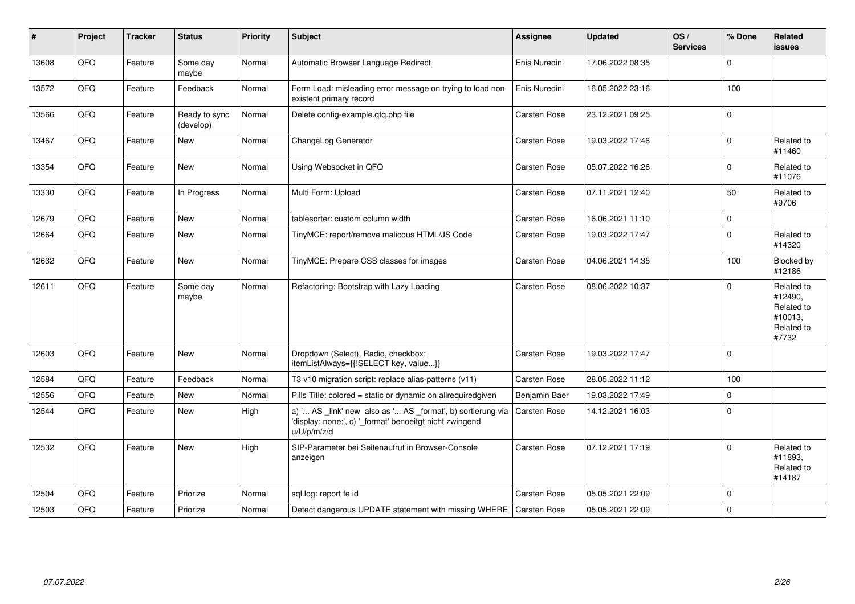| #     | Project | <b>Tracker</b> | <b>Status</b>              | <b>Priority</b> | Subject                                                                                                                               | <b>Assignee</b>     | <b>Updated</b>   | OS/<br><b>Services</b> | % Done       | Related<br>issues                                                     |
|-------|---------|----------------|----------------------------|-----------------|---------------------------------------------------------------------------------------------------------------------------------------|---------------------|------------------|------------------------|--------------|-----------------------------------------------------------------------|
| 13608 | QFQ     | Feature        | Some day<br>maybe          | Normal          | Automatic Browser Language Redirect                                                                                                   | Enis Nuredini       | 17.06.2022 08:35 |                        | $\mathbf 0$  |                                                                       |
| 13572 | QFQ     | Feature        | Feedback                   | Normal          | Form Load: misleading error message on trying to load non<br>existent primary record                                                  | Enis Nuredini       | 16.05.2022 23:16 |                        | 100          |                                                                       |
| 13566 | QFQ     | Feature        | Ready to sync<br>(develop) | Normal          | Delete config-example.gfg.php file                                                                                                    | Carsten Rose        | 23.12.2021 09:25 |                        | $\pmb{0}$    |                                                                       |
| 13467 | QFQ     | Feature        | <b>New</b>                 | Normal          | ChangeLog Generator                                                                                                                   | Carsten Rose        | 19.03.2022 17:46 |                        | $\mathbf 0$  | Related to<br>#11460                                                  |
| 13354 | QFQ     | Feature        | New                        | Normal          | Using Websocket in QFQ                                                                                                                | Carsten Rose        | 05.07.2022 16:26 |                        | $\mathbf 0$  | Related to<br>#11076                                                  |
| 13330 | QFQ     | Feature        | In Progress                | Normal          | Multi Form: Upload                                                                                                                    | <b>Carsten Rose</b> | 07.11.2021 12:40 |                        | 50           | Related to<br>#9706                                                   |
| 12679 | QFQ     | Feature        | <b>New</b>                 | Normal          | tablesorter: custom column width                                                                                                      | <b>Carsten Rose</b> | 16.06.2021 11:10 |                        | $\mathbf{0}$ |                                                                       |
| 12664 | QFQ     | Feature        | <b>New</b>                 | Normal          | TinyMCE: report/remove malicous HTML/JS Code                                                                                          | <b>Carsten Rose</b> | 19.03.2022 17:47 |                        | $\mathbf 0$  | Related to<br>#14320                                                  |
| 12632 | QFQ     | Feature        | <b>New</b>                 | Normal          | TinyMCE: Prepare CSS classes for images                                                                                               | <b>Carsten Rose</b> | 04.06.2021 14:35 |                        | 100          | Blocked by<br>#12186                                                  |
| 12611 | QFQ     | Feature        | Some day<br>maybe          | Normal          | Refactoring: Bootstrap with Lazy Loading                                                                                              | Carsten Rose        | 08.06.2022 10:37 |                        | $\mathbf 0$  | Related to<br>#12490,<br>Related to<br>#10013,<br>Related to<br>#7732 |
| 12603 | QFQ     | Feature        | New                        | Normal          | Dropdown (Select), Radio, checkbox:<br>itemListAlways={{!SELECT key, value}}                                                          | Carsten Rose        | 19.03.2022 17:47 |                        | $\mathbf 0$  |                                                                       |
| 12584 | QFQ     | Feature        | Feedback                   | Normal          | T3 v10 migration script: replace alias-patterns (v11)                                                                                 | Carsten Rose        | 28.05.2022 11:12 |                        | 100          |                                                                       |
| 12556 | QFQ     | Feature        | <b>New</b>                 | Normal          | Pills Title: colored = static or dynamic on allrequiredgiven                                                                          | Benjamin Baer       | 19.03.2022 17:49 |                        | $\mathbf 0$  |                                                                       |
| 12544 | QFQ     | Feature        | <b>New</b>                 | High            | a) ' AS _link' new also as ' AS _format', b) sortierung via<br>'display: none;', c) '_format' benoeitgt nicht zwingend<br>u/U/p/m/z/d | <b>Carsten Rose</b> | 14.12.2021 16:03 |                        | $\mathbf 0$  |                                                                       |
| 12532 | QFQ     | Feature        | <b>New</b>                 | High            | SIP-Parameter bei Seitenaufruf in Browser-Console<br>anzeigen                                                                         | <b>Carsten Rose</b> | 07.12.2021 17:19 |                        | $\Omega$     | Related to<br>#11893.<br>Related to<br>#14187                         |
| 12504 | QFQ     | Feature        | Priorize                   | Normal          | sql.log: report fe.id                                                                                                                 | Carsten Rose        | 05.05.2021 22:09 |                        | $\Omega$     |                                                                       |
| 12503 | QFQ     | Feature        | Priorize                   | Normal          | Detect dangerous UPDATE statement with missing WHERE                                                                                  | Carsten Rose        | 05.05.2021 22:09 |                        | $\mathbf 0$  |                                                                       |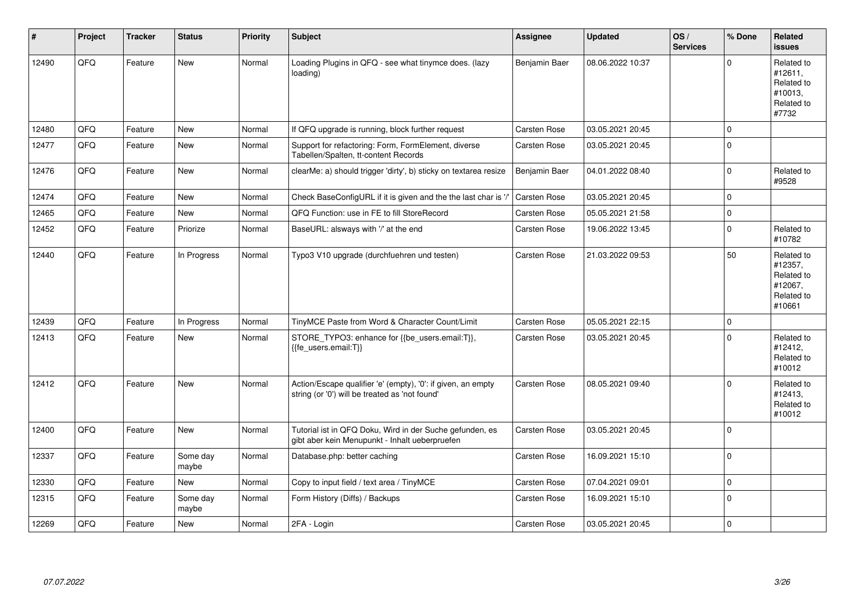| $\vert$ # | Project | <b>Tracker</b> | <b>Status</b>     | <b>Priority</b> | Subject                                                                                                        | Assignee            | <b>Updated</b>   | OS/<br><b>Services</b> | % Done         | Related<br><b>issues</b>                                               |
|-----------|---------|----------------|-------------------|-----------------|----------------------------------------------------------------------------------------------------------------|---------------------|------------------|------------------------|----------------|------------------------------------------------------------------------|
| 12490     | QFQ     | Feature        | <b>New</b>        | Normal          | Loading Plugins in QFQ - see what tinymce does. (lazy<br>loading)                                              | Benjamin Baer       | 08.06.2022 10:37 |                        | $\overline{0}$ | Related to<br>#12611,<br>Related to<br>#10013,<br>Related to<br>#7732  |
| 12480     | QFQ     | Feature        | <b>New</b>        | Normal          | If QFQ upgrade is running, block further request                                                               | Carsten Rose        | 03.05.2021 20:45 |                        | 0              |                                                                        |
| 12477     | QFQ     | Feature        | New               | Normal          | Support for refactoring: Form, FormElement, diverse<br>Tabellen/Spalten, tt-content Records                    | <b>Carsten Rose</b> | 03.05.2021 20:45 |                        | $\mathbf 0$    |                                                                        |
| 12476     | QFQ     | Feature        | New               | Normal          | clearMe: a) should trigger 'dirty', b) sticky on textarea resize                                               | Benjamin Baer       | 04.01.2022 08:40 |                        | $\pmb{0}$      | Related to<br>#9528                                                    |
| 12474     | QFQ     | Feature        | <b>New</b>        | Normal          | Check BaseConfigURL if it is given and the the last char is '/'                                                | <b>Carsten Rose</b> | 03.05.2021 20:45 |                        | 0              |                                                                        |
| 12465     | QFQ     | Feature        | <b>New</b>        | Normal          | QFQ Function: use in FE to fill StoreRecord                                                                    | Carsten Rose        | 05.05.2021 21:58 |                        | $\pmb{0}$      |                                                                        |
| 12452     | QFQ     | Feature        | Priorize          | Normal          | BaseURL: alsways with '/' at the end                                                                           | <b>Carsten Rose</b> | 19.06.2022 13:45 |                        | $\pmb{0}$      | Related to<br>#10782                                                   |
| 12440     | QFQ     | Feature        | In Progress       | Normal          | Typo3 V10 upgrade (durchfuehren und testen)                                                                    | <b>Carsten Rose</b> | 21.03.2022 09:53 |                        | 50             | Related to<br>#12357,<br>Related to<br>#12067,<br>Related to<br>#10661 |
| 12439     | QFQ     | Feature        | In Progress       | Normal          | TinyMCE Paste from Word & Character Count/Limit                                                                | <b>Carsten Rose</b> | 05.05.2021 22:15 |                        | 0              |                                                                        |
| 12413     | QFQ     | Feature        | New               | Normal          | STORE_TYPO3: enhance for {{be_users.email:T}},<br>{{fe users.email:T}}                                         | Carsten Rose        | 03.05.2021 20:45 |                        | $\mathbf 0$    | Related to<br>#12412,<br>Related to<br>#10012                          |
| 12412     | QFQ     | Feature        | New               | Normal          | Action/Escape qualifier 'e' (empty), '0': if given, an empty<br>string (or '0') will be treated as 'not found' | <b>Carsten Rose</b> | 08.05.2021 09:40 |                        | $\mathbf{0}$   | Related to<br>#12413,<br>Related to<br>#10012                          |
| 12400     | QFQ     | Feature        | New               | Normal          | Tutorial ist in QFQ Doku, Wird in der Suche gefunden, es<br>gibt aber kein Menupunkt - Inhalt ueberpruefen     | <b>Carsten Rose</b> | 03.05.2021 20:45 |                        | $\mathbf{0}$   |                                                                        |
| 12337     | QFQ     | Feature        | Some day<br>maybe | Normal          | Database.php: better caching                                                                                   | <b>Carsten Rose</b> | 16.09.2021 15:10 |                        | $\pmb{0}$      |                                                                        |
| 12330     | QFQ     | Feature        | <b>New</b>        | Normal          | Copy to input field / text area / TinyMCE                                                                      | <b>Carsten Rose</b> | 07.04.2021 09:01 |                        | 0              |                                                                        |
| 12315     | QFQ     | Feature        | Some day<br>maybe | Normal          | Form History (Diffs) / Backups                                                                                 | Carsten Rose        | 16.09.2021 15:10 |                        | $\pmb{0}$      |                                                                        |
| 12269     | QFQ     | Feature        | <b>New</b>        | Normal          | 2FA - Login                                                                                                    | <b>Carsten Rose</b> | 03.05.2021 20:45 |                        | 0              |                                                                        |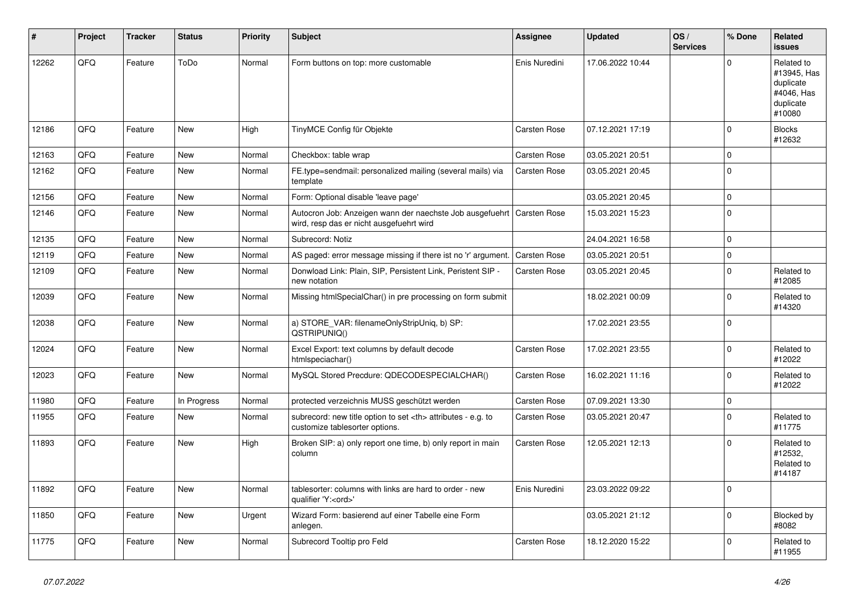| #     | Project | <b>Tracker</b> | <b>Status</b> | <b>Priority</b> | <b>Subject</b>                                                                                                      | <b>Assignee</b>                                        | <b>Updated</b>      | OS/<br><b>Services</b> | % Done      | Related<br><b>issues</b>                                                    |                      |
|-------|---------|----------------|---------------|-----------------|---------------------------------------------------------------------------------------------------------------------|--------------------------------------------------------|---------------------|------------------------|-------------|-----------------------------------------------------------------------------|----------------------|
| 12262 | QFQ     | Feature        | ToDo          | Normal          | Form buttons on top: more customable                                                                                | Enis Nuredini                                          | 17.06.2022 10:44    |                        | $\Omega$    | Related to<br>#13945, Has<br>duplicate<br>#4046, Has<br>duplicate<br>#10080 |                      |
| 12186 | QFQ     | Feature        | <b>New</b>    | High            | TinyMCE Config für Objekte                                                                                          | <b>Carsten Rose</b>                                    | 07.12.2021 17:19    |                        | $\mathbf 0$ | <b>Blocks</b><br>#12632                                                     |                      |
| 12163 | QFQ     | Feature        | <b>New</b>    | Normal          | Checkbox: table wrap                                                                                                | Carsten Rose                                           | 03.05.2021 20:51    |                        | 0           |                                                                             |                      |
| 12162 | QFQ     | Feature        | New           | Normal          | FE.type=sendmail: personalized mailing (several mails) via<br>template                                              | Carsten Rose                                           | 03.05.2021 20:45    |                        | $\pmb{0}$   |                                                                             |                      |
| 12156 | QFQ     | Feature        | <b>New</b>    | Normal          | Form: Optional disable 'leave page'                                                                                 |                                                        | 03.05.2021 20:45    |                        | $\mathbf 0$ |                                                                             |                      |
| 12146 | QFQ     | Feature        | New           | Normal          | Autocron Job: Anzeigen wann der naechste Job ausgefuehrt   Carsten Rose<br>wird, resp das er nicht ausgefuehrt wird |                                                        | 15.03.2021 15:23    |                        | $\pmb{0}$   |                                                                             |                      |
| 12135 | OFQ     | Feature        | <b>New</b>    | Normal          | Subrecord: Notiz                                                                                                    |                                                        | 24.04.2021 16:58    |                        | $\pmb{0}$   |                                                                             |                      |
| 12119 | QFQ     | Feature        | <b>New</b>    | Normal          | AS paged: error message missing if there ist no 'r' argument.                                                       | <b>Carsten Rose</b>                                    | 03.05.2021 20:51    |                        | $\mathbf 0$ |                                                                             |                      |
| 12109 | QFQ     | Feature        | <b>New</b>    | Normal          | Donwload Link: Plain, SIP, Persistent Link, Peristent SIP -<br>new notation                                         | <b>Carsten Rose</b>                                    | 03.05.2021 20:45    |                        | $\mathbf 0$ | Related to<br>#12085                                                        |                      |
| 12039 | QFQ     | Feature        | New           | Normal          | Missing htmlSpecialChar() in pre processing on form submit                                                          |                                                        | 18.02.2021 00:09    |                        | 0           | Related to<br>#14320                                                        |                      |
| 12038 | QFQ     | Feature        | <b>New</b>    | Normal          | a) STORE_VAR: filenameOnlyStripUniq, b) SP:<br>QSTRIPUNIQ()                                                         |                                                        | 17.02.2021 23:55    |                        | $\Omega$    |                                                                             |                      |
| 12024 | QFQ     | Feature        | New           | Normal          | Excel Export: text columns by default decode<br>htmlspeciachar()                                                    | Carsten Rose                                           | 17.02.2021 23:55    |                        | 0           | Related to<br>#12022                                                        |                      |
| 12023 | QFQ     | Feature        | New           | Normal          | MySQL Stored Precdure: QDECODESPECIALCHAR()                                                                         | Carsten Rose                                           | 16.02.2021 11:16    |                        | $\Omega$    | Related to<br>#12022                                                        |                      |
| 11980 | QFQ     | Feature        | In Progress   | Normal          | protected verzeichnis MUSS geschützt werden                                                                         | <b>Carsten Rose</b>                                    | 07.09.2021 13:30    |                        | $\pmb{0}$   |                                                                             |                      |
| 11955 | QFQ     | Feature        | New           | Normal          | subrecord: new title option to set <th> attributes - e.g. to<br/>customize tablesorter options.</th>                | attributes - e.g. to<br>customize tablesorter options. | <b>Carsten Rose</b> | 03.05.2021 20:47       |             | 0                                                                           | Related to<br>#11775 |
| 11893 | OFQ     | Feature        | New           | High            | Broken SIP: a) only report one time, b) only report in main<br>column                                               | <b>Carsten Rose</b>                                    | 12.05.2021 12:13    |                        | $\Omega$    | Related to<br>#12532,<br>Related to<br>#14187                               |                      |
| 11892 | QFQ     | Feature        | New           | Normal          | tablesorter: columns with links are hard to order - new<br>qualifier 'Y: <ord>'</ord>                               | Enis Nuredini                                          | 23.03.2022 09:22    |                        | $\Omega$    |                                                                             |                      |
| 11850 | QFQ     | Feature        | <b>New</b>    | Urgent          | Wizard Form: basierend auf einer Tabelle eine Form<br>anlegen.                                                      |                                                        | 03.05.2021 21:12    |                        | $\pmb{0}$   | Blocked by<br>#8082                                                         |                      |
| 11775 | QFQ     | Feature        | <b>New</b>    | Normal          | Subrecord Tooltip pro Feld                                                                                          | Carsten Rose                                           | 18.12.2020 15:22    |                        | 0           | Related to<br>#11955                                                        |                      |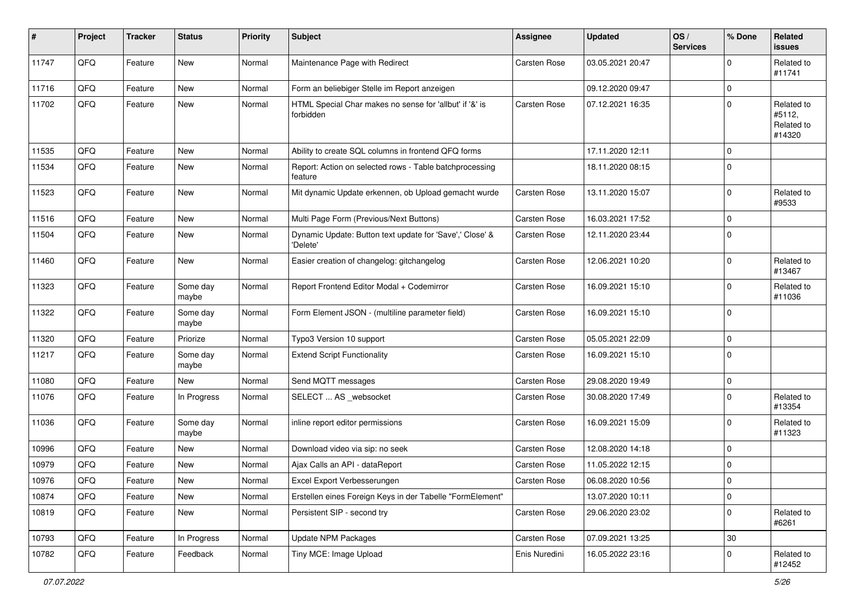| #     | Project | <b>Tracker</b> | <b>Status</b>     | <b>Priority</b> | <b>Subject</b>                                                       | Assignee            | <b>Updated</b>   | OS/<br><b>Services</b> | % Done         | Related<br><b>issues</b>                     |
|-------|---------|----------------|-------------------|-----------------|----------------------------------------------------------------------|---------------------|------------------|------------------------|----------------|----------------------------------------------|
| 11747 | QFQ     | Feature        | <b>New</b>        | Normal          | Maintenance Page with Redirect                                       | <b>Carsten Rose</b> | 03.05.2021 20:47 |                        | $\Omega$       | Related to<br>#11741                         |
| 11716 | QFQ     | Feature        | New               | Normal          | Form an beliebiger Stelle im Report anzeigen                         |                     | 09.12.2020 09:47 |                        | $\mathbf 0$    |                                              |
| 11702 | QFQ     | Feature        | <b>New</b>        | Normal          | HTML Special Char makes no sense for 'allbut' if '&' is<br>forbidden | Carsten Rose        | 07.12.2021 16:35 |                        | $\mathbf 0$    | Related to<br>#5112,<br>Related to<br>#14320 |
| 11535 | QFQ     | Feature        | <b>New</b>        | Normal          | Ability to create SQL columns in frontend QFQ forms                  |                     | 17.11.2020 12:11 |                        | $\Omega$       |                                              |
| 11534 | QFQ     | Feature        | <b>New</b>        | Normal          | Report: Action on selected rows - Table batchprocessing<br>feature   |                     | 18.11.2020 08:15 |                        | $\Omega$       |                                              |
| 11523 | QFQ     | Feature        | <b>New</b>        | Normal          | Mit dynamic Update erkennen, ob Upload gemacht wurde                 | Carsten Rose        | 13.11.2020 15:07 |                        | $\mathbf 0$    | Related to<br>#9533                          |
| 11516 | QFQ     | Feature        | <b>New</b>        | Normal          | Multi Page Form (Previous/Next Buttons)                              | Carsten Rose        | 16.03.2021 17:52 |                        | $\mathbf 0$    |                                              |
| 11504 | QFQ     | Feature        | New               | Normal          | Dynamic Update: Button text update for 'Save',' Close' &<br>'Delete' | Carsten Rose        | 12.11.2020 23:44 |                        | $\mathbf 0$    |                                              |
| 11460 | QFQ     | Feature        | <b>New</b>        | Normal          | Easier creation of changelog: gitchangelog                           | Carsten Rose        | 12.06.2021 10:20 |                        | $\mathbf 0$    | Related to<br>#13467                         |
| 11323 | QFQ     | Feature        | Some day<br>maybe | Normal          | Report Frontend Editor Modal + Codemirror                            | Carsten Rose        | 16.09.2021 15:10 |                        | $\mathbf 0$    | Related to<br>#11036                         |
| 11322 | QFQ     | Feature        | Some day<br>maybe | Normal          | Form Element JSON - (multiline parameter field)                      | Carsten Rose        | 16.09.2021 15:10 |                        | $\mathbf 0$    |                                              |
| 11320 | QFQ     | Feature        | Priorize          | Normal          | Typo3 Version 10 support                                             | Carsten Rose        | 05.05.2021 22:09 |                        | $\mathbf 0$    |                                              |
| 11217 | QFQ     | Feature        | Some day<br>maybe | Normal          | <b>Extend Script Functionality</b>                                   | Carsten Rose        | 16.09.2021 15:10 |                        | $\mathbf 0$    |                                              |
| 11080 | QFQ     | Feature        | New               | Normal          | Send MQTT messages                                                   | Carsten Rose        | 29.08.2020 19:49 |                        | $\mathbf 0$    |                                              |
| 11076 | QFQ     | Feature        | In Progress       | Normal          | SELECT  AS _websocket                                                | Carsten Rose        | 30.08.2020 17:49 |                        | $\mathbf 0$    | Related to<br>#13354                         |
| 11036 | QFQ     | Feature        | Some day<br>maybe | Normal          | inline report editor permissions                                     | Carsten Rose        | 16.09.2021 15:09 |                        | $\mathbf 0$    | Related to<br>#11323                         |
| 10996 | QFQ     | Feature        | New               | Normal          | Download video via sip: no seek                                      | Carsten Rose        | 12.08.2020 14:18 |                        | $\mathbf 0$    |                                              |
| 10979 | QFQ     | Feature        | New               | Normal          | Ajax Calls an API - dataReport                                       | Carsten Rose        | 11.05.2022 12:15 |                        | $\Omega$       |                                              |
| 10976 | QFQ     | Feature        | New               | Normal          | Excel Export Verbesserungen                                          | Carsten Rose        | 06.08.2020 10:56 |                        | $\overline{0}$ |                                              |
| 10874 | QFQ     | Feature        | New               | Normal          | Erstellen eines Foreign Keys in der Tabelle "FormElement"            |                     | 13.07.2020 10:11 |                        | $\mathbf 0$    |                                              |
| 10819 | QFQ     | Feature        | New               | Normal          | Persistent SIP - second try                                          | Carsten Rose        | 29.06.2020 23:02 |                        | $\mathbf 0$    | Related to<br>#6261                          |
| 10793 | QFQ     | Feature        | In Progress       | Normal          | Update NPM Packages                                                  | Carsten Rose        | 07.09.2021 13:25 |                        | $30\,$         |                                              |
| 10782 | QFQ     | Feature        | Feedback          | Normal          | Tiny MCE: Image Upload                                               | Enis Nuredini       | 16.05.2022 23:16 |                        | $\mathbf 0$    | Related to<br>#12452                         |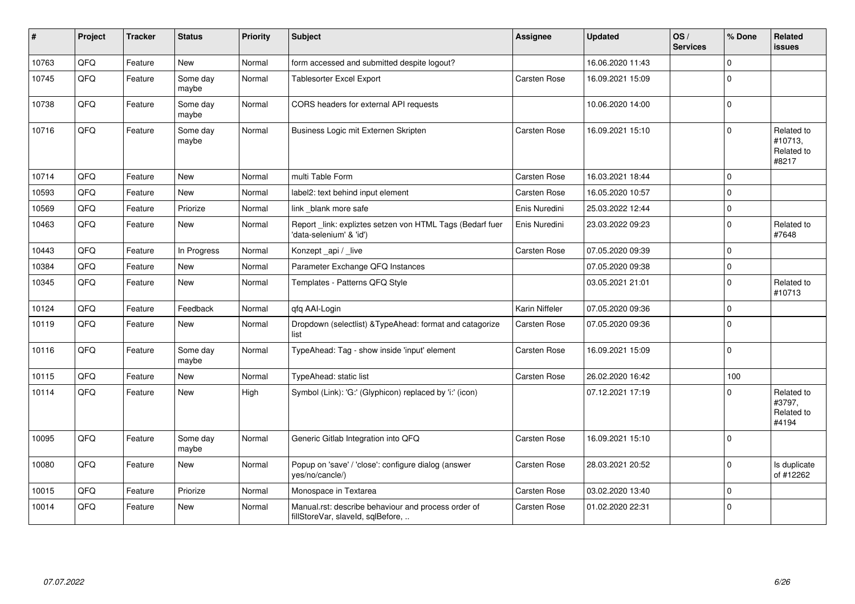| #     | Project | <b>Tracker</b> | <b>Status</b>     | <b>Priority</b> | <b>Subject</b>                                                                           | Assignee            | <b>Updated</b>   | OS/<br><b>Services</b> | % Done         | Related<br><b>issues</b>                     |
|-------|---------|----------------|-------------------|-----------------|------------------------------------------------------------------------------------------|---------------------|------------------|------------------------|----------------|----------------------------------------------|
| 10763 | QFQ     | Feature        | <b>New</b>        | Normal          | form accessed and submitted despite logout?                                              |                     | 16.06.2020 11:43 |                        | $\Omega$       |                                              |
| 10745 | QFQ     | Feature        | Some day<br>maybe | Normal          | <b>Tablesorter Excel Export</b>                                                          | Carsten Rose        | 16.09.2021 15:09 |                        | $\mathbf 0$    |                                              |
| 10738 | QFQ     | Feature        | Some day<br>maybe | Normal          | CORS headers for external API requests                                                   |                     | 10.06.2020 14:00 |                        | $\mathbf 0$    |                                              |
| 10716 | QFQ     | Feature        | Some day<br>maybe | Normal          | Business Logic mit Externen Skripten                                                     | Carsten Rose        | 16.09.2021 15:10 |                        | $\Omega$       | Related to<br>#10713,<br>Related to<br>#8217 |
| 10714 | QFQ     | Feature        | <b>New</b>        | Normal          | multi Table Form                                                                         | Carsten Rose        | 16.03.2021 18:44 |                        | $\mathbf 0$    |                                              |
| 10593 | QFQ     | Feature        | New               | Normal          | label2: text behind input element                                                        | <b>Carsten Rose</b> | 16.05.2020 10:57 |                        | $\mathbf 0$    |                                              |
| 10569 | QFQ     | Feature        | Priorize          | Normal          | link blank more safe                                                                     | Enis Nuredini       | 25.03.2022 12:44 |                        | $\mathbf 0$    |                                              |
| 10463 | QFQ     | Feature        | New               | Normal          | Report_link: expliztes setzen von HTML Tags (Bedarf fuer<br>'data-selenium' & 'id')      | Enis Nuredini       | 23.03.2022 09:23 |                        | $\mathbf 0$    | Related to<br>#7648                          |
| 10443 | QFQ     | Feature        | In Progress       | Normal          | Konzept_api / _live                                                                      | Carsten Rose        | 07.05.2020 09:39 |                        | $\mathbf 0$    |                                              |
| 10384 | QFQ     | Feature        | New               | Normal          | Parameter Exchange QFQ Instances                                                         |                     | 07.05.2020 09:38 |                        | $\overline{0}$ |                                              |
| 10345 | QFQ     | Feature        | New               | Normal          | Templates - Patterns QFQ Style                                                           |                     | 03.05.2021 21:01 |                        | $\mathbf 0$    | Related to<br>#10713                         |
| 10124 | QFQ     | Feature        | Feedback          | Normal          | gfg AAI-Login                                                                            | Karin Niffeler      | 07.05.2020 09:36 |                        | $\mathbf 0$    |                                              |
| 10119 | QFQ     | Feature        | New               | Normal          | Dropdown (selectlist) & TypeAhead: format and catagorize<br>list                         | <b>Carsten Rose</b> | 07.05.2020 09:36 |                        | $\Omega$       |                                              |
| 10116 | QFQ     | Feature        | Some day<br>maybe | Normal          | TypeAhead: Tag - show inside 'input' element                                             | <b>Carsten Rose</b> | 16.09.2021 15:09 |                        | $\mathbf 0$    |                                              |
| 10115 | QFQ     | Feature        | New               | Normal          | TypeAhead: static list                                                                   | <b>Carsten Rose</b> | 26.02.2020 16:42 |                        | 100            |                                              |
| 10114 | QFQ     | Feature        | New               | High            | Symbol (Link): 'G:' (Glyphicon) replaced by 'i:' (icon)                                  |                     | 07.12.2021 17:19 |                        | $\Omega$       | Related to<br>#3797,<br>Related to<br>#4194  |
| 10095 | QFQ     | Feature        | Some day<br>maybe | Normal          | Generic Gitlab Integration into QFQ                                                      | <b>Carsten Rose</b> | 16.09.2021 15:10 |                        | $\overline{0}$ |                                              |
| 10080 | QFQ     | Feature        | New               | Normal          | Popup on 'save' / 'close': configure dialog (answer<br>ves/no/cancle/)                   | <b>Carsten Rose</b> | 28.03.2021 20:52 |                        | $\mathbf 0$    | Is duplicate<br>of #12262                    |
| 10015 | QFQ     | Feature        | Priorize          | Normal          | Monospace in Textarea                                                                    | Carsten Rose        | 03.02.2020 13:40 |                        | $\mathbf 0$    |                                              |
| 10014 | QFQ     | Feature        | <b>New</b>        | Normal          | Manual.rst: describe behaviour and process order of<br>fillStoreVar, slaveId, sqlBefore, | <b>Carsten Rose</b> | 01.02.2020 22:31 |                        | $\overline{0}$ |                                              |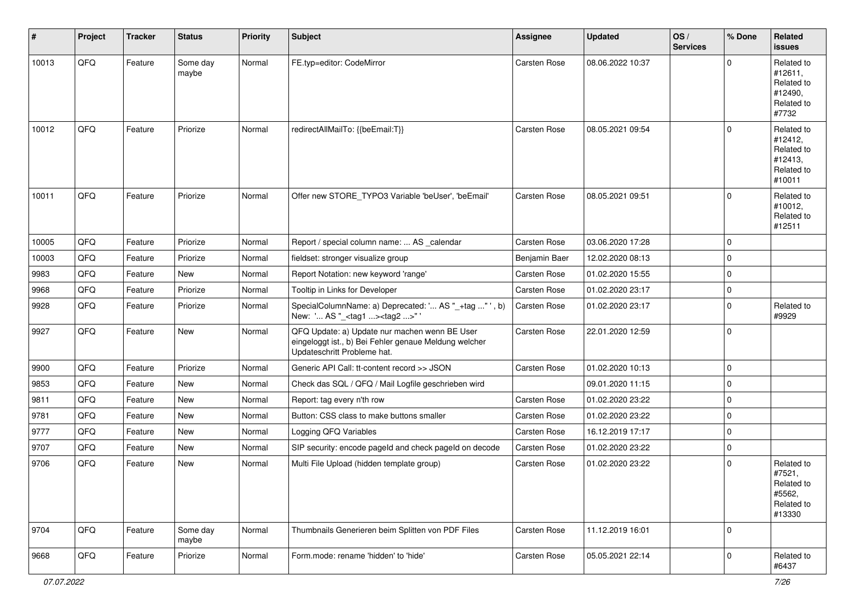| #     | Project | <b>Tracker</b> | <b>Status</b>     | <b>Priority</b> | <b>Subject</b>                                                                                                                        | Assignee      | <b>Updated</b>   | OS/<br><b>Services</b> | % Done      | Related<br>issues                                                      |
|-------|---------|----------------|-------------------|-----------------|---------------------------------------------------------------------------------------------------------------------------------------|---------------|------------------|------------------------|-------------|------------------------------------------------------------------------|
| 10013 | QFQ     | Feature        | Some day<br>maybe | Normal          | FE.typ=editor: CodeMirror                                                                                                             | Carsten Rose  | 08.06.2022 10:37 |                        | $\Omega$    | Related to<br>#12611,<br>Related to<br>#12490,<br>Related to<br>#7732  |
| 10012 | QFQ     | Feature        | Priorize          | Normal          | redirectAllMailTo: {{beEmail:T}}                                                                                                      | Carsten Rose  | 08.05.2021 09:54 |                        | $\mathbf 0$ | Related to<br>#12412,<br>Related to<br>#12413.<br>Related to<br>#10011 |
| 10011 | QFQ     | Feature        | Priorize          | Normal          | Offer new STORE_TYPO3 Variable 'beUser', 'beEmail'                                                                                    | Carsten Rose  | 08.05.2021 09:51 |                        | $\Omega$    | Related to<br>#10012,<br>Related to<br>#12511                          |
| 10005 | QFQ     | Feature        | Priorize          | Normal          | Report / special column name:  AS _calendar                                                                                           | Carsten Rose  | 03.06.2020 17:28 |                        | $\mathbf 0$ |                                                                        |
| 10003 | QFQ     | Feature        | Priorize          | Normal          | fieldset: stronger visualize group                                                                                                    | Benjamin Baer | 12.02.2020 08:13 |                        | $\mathbf 0$ |                                                                        |
| 9983  | QFQ     | Feature        | New               | Normal          | Report Notation: new keyword 'range'                                                                                                  | Carsten Rose  | 01.02.2020 15:55 |                        | $\mathbf 0$ |                                                                        |
| 9968  | QFQ     | Feature        | Priorize          | Normal          | Tooltip in Links for Developer                                                                                                        | Carsten Rose  | 01.02.2020 23:17 |                        | $\mathbf 0$ |                                                                        |
| 9928  | QFQ     | Feature        | Priorize          | Normal          | SpecialColumnName: a) Deprecated: ' AS "_+tag "', b)<br>New: ' AS "_ <tag1><tag2>"'</tag2></tag1>                                     | Carsten Rose  | 01.02.2020 23:17 |                        | $\mathbf 0$ | Related to<br>#9929                                                    |
| 9927  | QFQ     | Feature        | New               | Normal          | QFQ Update: a) Update nur machen wenn BE User<br>eingeloggt ist., b) Bei Fehler genaue Meldung welcher<br>Updateschritt Probleme hat. | Carsten Rose  | 22.01.2020 12:59 |                        | $\mathbf 0$ |                                                                        |
| 9900  | QFQ     | Feature        | Priorize          | Normal          | Generic API Call: tt-content record >> JSON                                                                                           | Carsten Rose  | 01.02.2020 10:13 |                        | $\mathbf 0$ |                                                                        |
| 9853  | QFQ     | Feature        | <b>New</b>        | Normal          | Check das SQL / QFQ / Mail Logfile geschrieben wird                                                                                   |               | 09.01.2020 11:15 |                        | $\mathbf 0$ |                                                                        |
| 9811  | QFQ     | Feature        | New               | Normal          | Report: tag every n'th row                                                                                                            | Carsten Rose  | 01.02.2020 23:22 |                        | $\mathbf 0$ |                                                                        |
| 9781  | QFQ     | Feature        | <b>New</b>        | Normal          | Button: CSS class to make buttons smaller                                                                                             | Carsten Rose  | 01.02.2020 23:22 |                        | $\mathbf 0$ |                                                                        |
| 9777  | QFQ     | Feature        | New               | Normal          | Logging QFQ Variables                                                                                                                 | Carsten Rose  | 16.12.2019 17:17 |                        | $\mathbf 0$ |                                                                        |
| 9707  | QFQ     | Feature        | New               | Normal          | SIP security: encode pageld and check pageld on decode                                                                                | Carsten Rose  | 01.02.2020 23:22 |                        | $\mathbf 0$ |                                                                        |
| 9706  | QFQ     | Feature        | <b>New</b>        | Normal          | Multi File Upload (hidden template group)                                                                                             | Carsten Rose  | 01.02.2020 23:22 |                        | $\Omega$    | Related to<br>#7521,<br>Related to<br>#5562,<br>Related to<br>#13330   |
| 9704  | QFQ     | Feature        | Some day<br>maybe | Normal          | Thumbnails Generieren beim Splitten von PDF Files                                                                                     | Carsten Rose  | 11.12.2019 16:01 |                        | $\mathbf 0$ |                                                                        |
| 9668  | QFQ     | Feature        | Priorize          | Normal          | Form.mode: rename 'hidden' to 'hide'                                                                                                  | Carsten Rose  | 05.05.2021 22:14 |                        | 0           | Related to<br>#6437                                                    |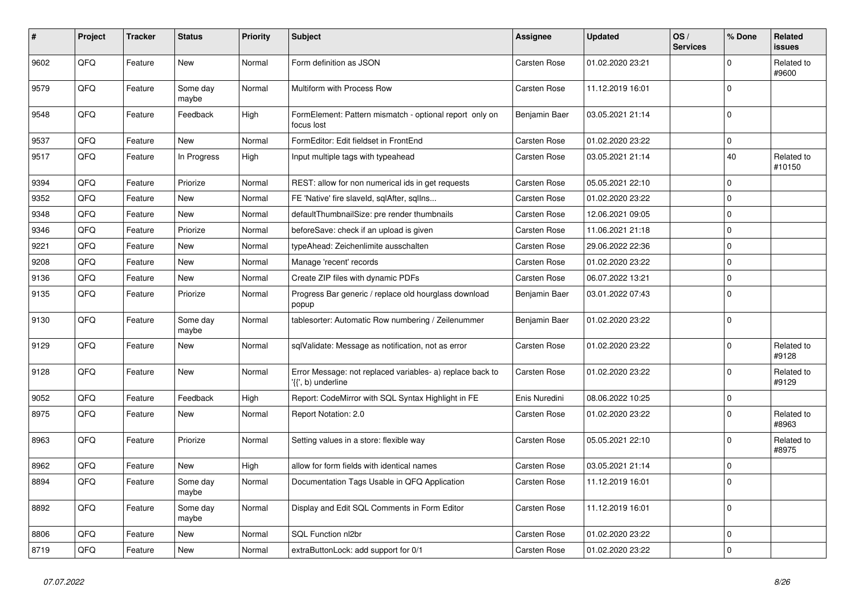| #    | Project | <b>Tracker</b> | <b>Status</b>     | <b>Priority</b> | <b>Subject</b>                                                                  | Assignee            | <b>Updated</b>   | OS/<br><b>Services</b> | % Done      | Related<br><b>issues</b> |
|------|---------|----------------|-------------------|-----------------|---------------------------------------------------------------------------------|---------------------|------------------|------------------------|-------------|--------------------------|
| 9602 | QFQ     | Feature        | <b>New</b>        | Normal          | Form definition as JSON                                                         | <b>Carsten Rose</b> | 01.02.2020 23:21 |                        | $\Omega$    | Related to<br>#9600      |
| 9579 | QFQ     | Feature        | Some day<br>maybe | Normal          | Multiform with Process Row                                                      | <b>Carsten Rose</b> | 11.12.2019 16:01 |                        | $\Omega$    |                          |
| 9548 | QFQ     | Feature        | Feedback          | High            | FormElement: Pattern mismatch - optional report only on<br>focus lost           | Benjamin Baer       | 03.05.2021 21:14 |                        | $\Omega$    |                          |
| 9537 | QFQ     | Feature        | <b>New</b>        | Normal          | FormEditor: Edit fieldset in FrontEnd                                           | <b>Carsten Rose</b> | 01.02.2020 23:22 |                        | $\Omega$    |                          |
| 9517 | QFQ     | Feature        | In Progress       | High            | Input multiple tags with typeahead                                              | Carsten Rose        | 03.05.2021 21:14 |                        | 40          | Related to<br>#10150     |
| 9394 | QFQ     | Feature        | Priorize          | Normal          | REST: allow for non numerical ids in get requests                               | Carsten Rose        | 05.05.2021 22:10 |                        | $\Omega$    |                          |
| 9352 | QFQ     | Feature        | <b>New</b>        | Normal          | FE 'Native' fire slaveld, sqlAfter, sqlIns                                      | Carsten Rose        | 01.02.2020 23:22 |                        | 0           |                          |
| 9348 | QFQ     | Feature        | New               | Normal          | defaultThumbnailSize: pre render thumbnails                                     | Carsten Rose        | 12.06.2021 09:05 |                        | $\Omega$    |                          |
| 9346 | QFQ     | Feature        | Priorize          | Normal          | beforeSave: check if an upload is given                                         | Carsten Rose        | 11.06.2021 21:18 |                        | 0           |                          |
| 9221 | QFQ     | Feature        | <b>New</b>        | Normal          | typeAhead: Zeichenlimite ausschalten                                            | <b>Carsten Rose</b> | 29.06.2022 22:36 |                        | $\Omega$    |                          |
| 9208 | QFQ     | Feature        | New               | Normal          | Manage 'recent' records                                                         | <b>Carsten Rose</b> | 01.02.2020 23:22 |                        | $\mathbf 0$ |                          |
| 9136 | QFQ     | Feature        | New               | Normal          | Create ZIP files with dynamic PDFs                                              | <b>Carsten Rose</b> | 06.07.2022 13:21 |                        | $\Omega$    |                          |
| 9135 | QFQ     | Feature        | Priorize          | Normal          | Progress Bar generic / replace old hourglass download<br>popup                  | Benjamin Baer       | 03.01.2022 07:43 |                        | $\Omega$    |                          |
| 9130 | QFQ     | Feature        | Some day<br>maybe | Normal          | tablesorter: Automatic Row numbering / Zeilenummer                              | Benjamin Baer       | 01.02.2020 23:22 |                        | $\Omega$    |                          |
| 9129 | QFQ     | Feature        | <b>New</b>        | Normal          | sqlValidate: Message as notification, not as error                              | Carsten Rose        | 01.02.2020 23:22 |                        | $\Omega$    | Related to<br>#9128      |
| 9128 | QFQ     | Feature        | New               | Normal          | Error Message: not replaced variables- a) replace back to<br>'{{', b) underline | <b>Carsten Rose</b> | 01.02.2020 23:22 |                        | $\mathbf 0$ | Related to<br>#9129      |
| 9052 | QFQ     | Feature        | Feedback          | High            | Report: CodeMirror with SQL Syntax Highlight in FE                              | Enis Nuredini       | 08.06.2022 10:25 |                        | 0           |                          |
| 8975 | QFQ     | Feature        | New               | Normal          | Report Notation: 2.0                                                            | Carsten Rose        | 01.02.2020 23:22 |                        | $\Omega$    | Related to<br>#8963      |
| 8963 | QFQ     | Feature        | Priorize          | Normal          | Setting values in a store: flexible way                                         | Carsten Rose        | 05.05.2021 22:10 |                        | $\Omega$    | Related to<br>#8975      |
| 8962 | QFQ     | Feature        | New               | High            | allow for form fields with identical names                                      | <b>Carsten Rose</b> | 03.05.2021 21:14 |                        | $\Omega$    |                          |
| 8894 | QFQ     | Feature        | Some day<br>maybe | Normal          | Documentation Tags Usable in QFQ Application                                    | Carsten Rose        | 11.12.2019 16:01 |                        | $\Omega$    |                          |
| 8892 | QFQ     | Feature        | Some day<br>maybe | Normal          | Display and Edit SQL Comments in Form Editor                                    | <b>Carsten Rose</b> | 11.12.2019 16:01 |                        | $\Omega$    |                          |
| 8806 | QFQ     | Feature        | <b>New</b>        | Normal          | SQL Function nl2br                                                              | <b>Carsten Rose</b> | 01.02.2020 23:22 |                        | $\Omega$    |                          |
| 8719 | QFQ     | Feature        | New               | Normal          | extraButtonLock: add support for 0/1                                            | <b>Carsten Rose</b> | 01.02.2020 23:22 |                        | $\Omega$    |                          |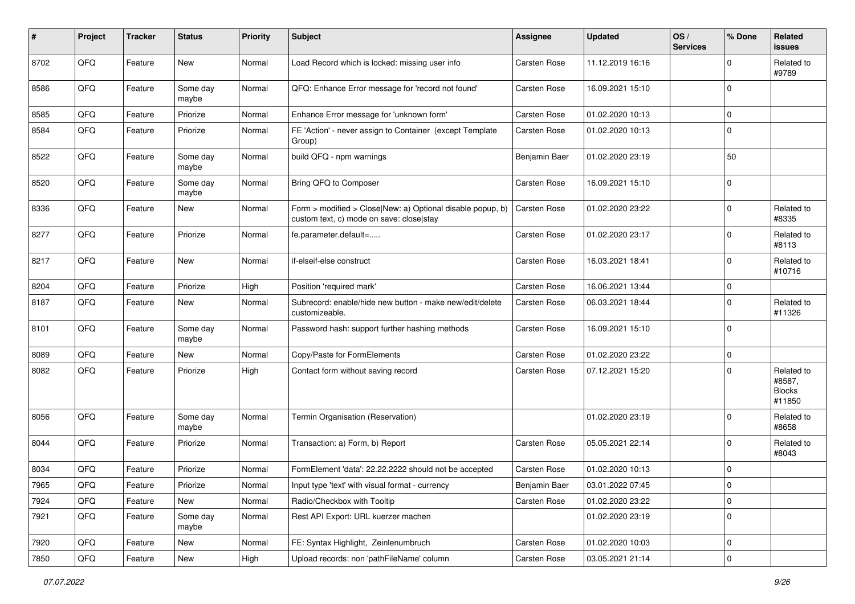| #    | Project        | <b>Tracker</b> | <b>Status</b>     | <b>Priority</b> | Subject                                                                                                | Assignee      | <b>Updated</b>   | OS/<br><b>Services</b> | % Done       | <b>Related</b><br><b>issues</b>                 |
|------|----------------|----------------|-------------------|-----------------|--------------------------------------------------------------------------------------------------------|---------------|------------------|------------------------|--------------|-------------------------------------------------|
| 8702 | QFQ            | Feature        | New               | Normal          | Load Record which is locked: missing user info                                                         | Carsten Rose  | 11.12.2019 16:16 |                        | $\mathbf 0$  | Related to<br>#9789                             |
| 8586 | QFQ            | Feature        | Some day<br>maybe | Normal          | QFQ: Enhance Error message for 'record not found'                                                      | Carsten Rose  | 16.09.2021 15:10 |                        | $\Omega$     |                                                 |
| 8585 | QFQ            | Feature        | Priorize          | Normal          | Enhance Error message for 'unknown form'                                                               | Carsten Rose  | 01.02.2020 10:13 |                        | $\Omega$     |                                                 |
| 8584 | QFQ            | Feature        | Priorize          | Normal          | FE 'Action' - never assign to Container (except Template<br>Group)                                     | Carsten Rose  | 01.02.2020 10:13 |                        | $\Omega$     |                                                 |
| 8522 | QFQ            | Feature        | Some day<br>maybe | Normal          | build QFQ - npm warnings                                                                               | Benjamin Baer | 01.02.2020 23:19 |                        | 50           |                                                 |
| 8520 | QFQ            | Feature        | Some day<br>maybe | Normal          | Bring QFQ to Composer                                                                                  | Carsten Rose  | 16.09.2021 15:10 |                        | $\Omega$     |                                                 |
| 8336 | QFQ            | Feature        | New               | Normal          | Form > modified > Close New: a) Optional disable popup, b)<br>custom text, c) mode on save: close stay | Carsten Rose  | 01.02.2020 23:22 |                        | $\Omega$     | Related to<br>#8335                             |
| 8277 | QFQ            | Feature        | Priorize          | Normal          | fe.parameter.default=                                                                                  | Carsten Rose  | 01.02.2020 23:17 |                        | $\Omega$     | Related to<br>#8113                             |
| 8217 | QFQ            | Feature        | New               | Normal          | if-elseif-else construct                                                                               | Carsten Rose  | 16.03.2021 18:41 |                        | $\Omega$     | Related to<br>#10716                            |
| 8204 | QFQ            | Feature        | Priorize          | High            | Position 'required mark'                                                                               | Carsten Rose  | 16.06.2021 13:44 |                        | $\Omega$     |                                                 |
| 8187 | QFQ            | Feature        | New               | Normal          | Subrecord: enable/hide new button - make new/edit/delete<br>customizeable.                             | Carsten Rose  | 06.03.2021 18:44 |                        | $\Omega$     | Related to<br>#11326                            |
| 8101 | QFQ            | Feature        | Some day<br>maybe | Normal          | Password hash: support further hashing methods                                                         | Carsten Rose  | 16.09.2021 15:10 |                        | $\Omega$     |                                                 |
| 8089 | QFQ            | Feature        | New               | Normal          | Copy/Paste for FormElements                                                                            | Carsten Rose  | 01.02.2020 23:22 |                        | $\mathbf 0$  |                                                 |
| 8082 | QFQ            | Feature        | Priorize          | High            | Contact form without saving record                                                                     | Carsten Rose  | 07.12.2021 15:20 |                        | $\Omega$     | Related to<br>#8587,<br><b>Blocks</b><br>#11850 |
| 8056 | QFQ            | Feature        | Some day<br>maybe | Normal          | Termin Organisation (Reservation)                                                                      |               | 01.02.2020 23:19 |                        | $\Omega$     | Related to<br>#8658                             |
| 8044 | QFQ            | Feature        | Priorize          | Normal          | Transaction: a) Form, b) Report                                                                        | Carsten Rose  | 05.05.2021 22:14 |                        | $\Omega$     | Related to<br>#8043                             |
| 8034 | QFQ            | Feature        | Priorize          | Normal          | FormElement 'data': 22.22.2222 should not be accepted                                                  | Carsten Rose  | 01.02.2020 10:13 |                        | $\Omega$     |                                                 |
| 7965 | $\mathsf{QFQ}$ | Feature        | Priorize          | Normal          | Input type 'text' with visual format - currency                                                        | Benjamin Baer | 03.01.2022 07:45 |                        | $\mathsf{U}$ |                                                 |
| 7924 | QFQ            | Feature        | New               | Normal          | Radio/Checkbox with Tooltip                                                                            | Carsten Rose  | 01.02.2020 23:22 |                        | 0            |                                                 |
| 7921 | QFQ            | Feature        | Some day<br>maybe | Normal          | Rest API Export: URL kuerzer machen                                                                    |               | 01.02.2020 23:19 |                        | $\mathbf 0$  |                                                 |
| 7920 | QFQ            | Feature        | New               | Normal          | FE: Syntax Highlight, Zeinlenumbruch                                                                   | Carsten Rose  | 01.02.2020 10:03 |                        | 0            |                                                 |
| 7850 | QFG            | Feature        | New               | High            | Upload records: non 'pathFileName' column                                                              | Carsten Rose  | 03.05.2021 21:14 |                        | $\pmb{0}$    |                                                 |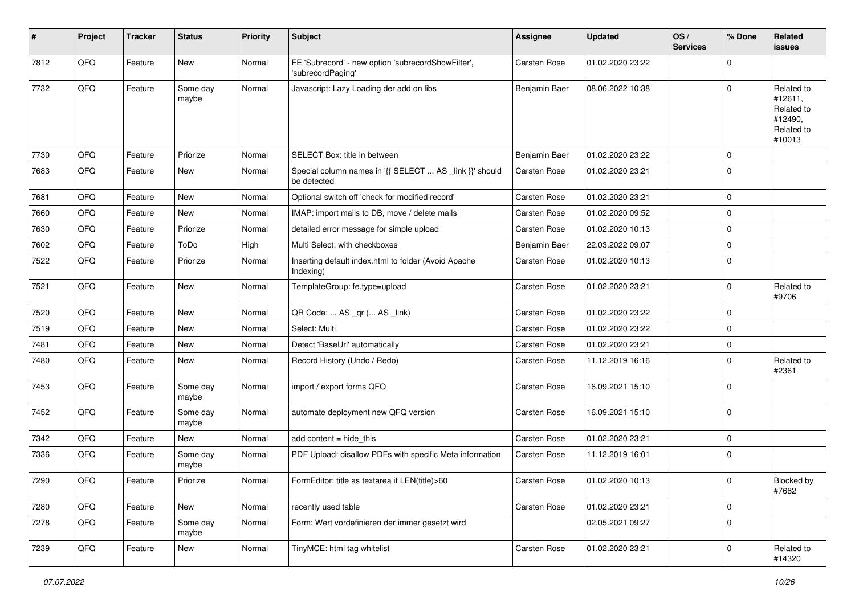| #    | Project | <b>Tracker</b> | <b>Status</b>     | <b>Priority</b> | <b>Subject</b>                                                          | Assignee            | <b>Updated</b>   | OS/<br><b>Services</b> | % Done         | Related<br><b>issues</b>                                               |
|------|---------|----------------|-------------------|-----------------|-------------------------------------------------------------------------|---------------------|------------------|------------------------|----------------|------------------------------------------------------------------------|
| 7812 | QFQ     | Feature        | New               | Normal          | FE 'Subrecord' - new option 'subrecordShowFilter',<br>'subrecordPaging' | <b>Carsten Rose</b> | 01.02.2020 23:22 |                        | $\mathbf 0$    |                                                                        |
| 7732 | QFQ     | Feature        | Some day<br>maybe | Normal          | Javascript: Lazy Loading der add on libs                                | Benjamin Baer       | 08.06.2022 10:38 |                        | $\Omega$       | Related to<br>#12611,<br>Related to<br>#12490,<br>Related to<br>#10013 |
| 7730 | QFQ     | Feature        | Priorize          | Normal          | SELECT Box: title in between                                            | Benjamin Baer       | 01.02.2020 23:22 |                        | $\mathbf 0$    |                                                                        |
| 7683 | QFQ     | Feature        | New               | Normal          | Special column names in '{{ SELECT  AS _link }}' should<br>be detected  | <b>Carsten Rose</b> | 01.02.2020 23:21 |                        | $\mathbf 0$    |                                                                        |
| 7681 | QFQ     | Feature        | <b>New</b>        | Normal          | Optional switch off 'check for modified record'                         | <b>Carsten Rose</b> | 01.02.2020 23:21 |                        | $\mathbf 0$    |                                                                        |
| 7660 | QFQ     | Feature        | New               | Normal          | IMAP: import mails to DB, move / delete mails                           | Carsten Rose        | 01.02.2020 09:52 |                        | $\mathbf 0$    |                                                                        |
| 7630 | QFQ     | Feature        | Priorize          | Normal          | detailed error message for simple upload                                | Carsten Rose        | 01.02.2020 10:13 |                        | $\mathbf 0$    |                                                                        |
| 7602 | QFQ     | Feature        | ToDo              | High            | Multi Select: with checkboxes                                           | Benjamin Baer       | 22.03.2022 09:07 |                        | $\mathbf 0$    |                                                                        |
| 7522 | QFQ     | Feature        | Priorize          | Normal          | Inserting default index.html to folder (Avoid Apache<br>Indexing)       | Carsten Rose        | 01.02.2020 10:13 |                        | $\Omega$       |                                                                        |
| 7521 | QFQ     | Feature        | <b>New</b>        | Normal          | TemplateGroup: fe.type=upload                                           | Carsten Rose        | 01.02.2020 23:21 |                        | $\mathbf 0$    | Related to<br>#9706                                                    |
| 7520 | QFQ     | Feature        | New               | Normal          | QR Code:  AS _qr ( AS _link)                                            | <b>Carsten Rose</b> | 01.02.2020 23:22 |                        | $\mathbf 0$    |                                                                        |
| 7519 | QFQ     | Feature        | New               | Normal          | Select: Multi                                                           | Carsten Rose        | 01.02.2020 23:22 |                        | $\mathbf 0$    |                                                                        |
| 7481 | QFQ     | Feature        | New               | Normal          | Detect 'BaseUrl' automatically                                          | Carsten Rose        | 01.02.2020 23:21 |                        | $\mathbf 0$    |                                                                        |
| 7480 | QFQ     | Feature        | <b>New</b>        | Normal          | Record History (Undo / Redo)                                            | Carsten Rose        | 11.12.2019 16:16 |                        | $\mathbf 0$    | Related to<br>#2361                                                    |
| 7453 | QFQ     | Feature        | Some day<br>maybe | Normal          | import / export forms QFQ                                               | Carsten Rose        | 16.09.2021 15:10 |                        | $\mathbf 0$    |                                                                        |
| 7452 | QFQ     | Feature        | Some day<br>maybe | Normal          | automate deployment new QFQ version                                     | Carsten Rose        | 16.09.2021 15:10 |                        | $\mathbf 0$    |                                                                        |
| 7342 | QFQ     | Feature        | New               | Normal          | add content = hide_this                                                 | <b>Carsten Rose</b> | 01.02.2020 23:21 |                        | $\mathbf 0$    |                                                                        |
| 7336 | QFQ     | Feature        | Some day<br>maybe | Normal          | PDF Upload: disallow PDFs with specific Meta information                | Carsten Rose        | 11.12.2019 16:01 |                        | $\mathbf 0$    |                                                                        |
| 7290 | QFQ     | Feature        | Priorize          | Normal          | FormEditor: title as textarea if LEN(title)>60                          | Carsten Rose        | 01.02.2020 10:13 |                        | $\overline{0}$ | Blocked by<br>#7682                                                    |
| 7280 | QFG     | Feature        | New               | Normal          | recently used table                                                     | Carsten Rose        | 01.02.2020 23:21 |                        | $\pmb{0}$      |                                                                        |
| 7278 | QFQ     | Feature        | Some day<br>maybe | Normal          | Form: Wert vordefinieren der immer gesetzt wird                         |                     | 02.05.2021 09:27 |                        | $\mathbf 0$    |                                                                        |
| 7239 | QFQ     | Feature        | New               | Normal          | TinyMCE: html tag whitelist                                             | Carsten Rose        | 01.02.2020 23:21 |                        | $\pmb{0}$      | Related to<br>#14320                                                   |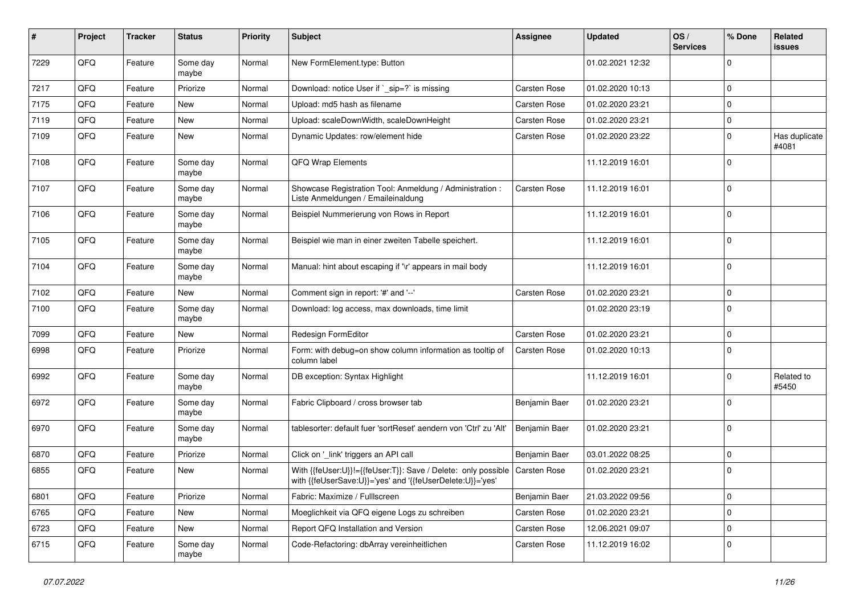| #    | Project | <b>Tracker</b> | <b>Status</b>     | <b>Priority</b> | Subject                                                                                                                    | Assignee      | <b>Updated</b>   | OS/<br><b>Services</b> | % Done      | Related<br>issues      |
|------|---------|----------------|-------------------|-----------------|----------------------------------------------------------------------------------------------------------------------------|---------------|------------------|------------------------|-------------|------------------------|
| 7229 | QFQ     | Feature        | Some day<br>maybe | Normal          | New FormElement.type: Button                                                                                               |               | 01.02.2021 12:32 |                        | $\Omega$    |                        |
| 7217 | QFQ     | Feature        | Priorize          | Normal          | Download: notice User if `_sip=?` is missing                                                                               | Carsten Rose  | 01.02.2020 10:13 |                        | $\Omega$    |                        |
| 7175 | QFQ     | Feature        | New               | Normal          | Upload: md5 hash as filename                                                                                               | Carsten Rose  | 01.02.2020 23:21 |                        | $\Omega$    |                        |
| 7119 | QFQ     | Feature        | New               | Normal          | Upload: scaleDownWidth, scaleDownHeight                                                                                    | Carsten Rose  | 01.02.2020 23:21 |                        | $\mathbf 0$ |                        |
| 7109 | QFQ     | Feature        | New               | Normal          | Dynamic Updates: row/element hide                                                                                          | Carsten Rose  | 01.02.2020 23:22 |                        | $\Omega$    | Has duplicate<br>#4081 |
| 7108 | QFQ     | Feature        | Some day<br>maybe | Normal          | QFQ Wrap Elements                                                                                                          |               | 11.12.2019 16:01 |                        | $\Omega$    |                        |
| 7107 | QFQ     | Feature        | Some day<br>maybe | Normal          | Showcase Registration Tool: Anmeldung / Administration :<br>Liste Anmeldungen / Emaileinaldung                             | Carsten Rose  | 11.12.2019 16:01 |                        | $\Omega$    |                        |
| 7106 | QFQ     | Feature        | Some day<br>maybe | Normal          | Beispiel Nummerierung von Rows in Report                                                                                   |               | 11.12.2019 16:01 |                        | $\Omega$    |                        |
| 7105 | QFQ     | Feature        | Some day<br>maybe | Normal          | Beispiel wie man in einer zweiten Tabelle speichert.                                                                       |               | 11.12.2019 16:01 |                        | $\Omega$    |                        |
| 7104 | QFQ     | Feature        | Some day<br>maybe | Normal          | Manual: hint about escaping if '\r' appears in mail body                                                                   |               | 11.12.2019 16:01 |                        | $\Omega$    |                        |
| 7102 | QFQ     | Feature        | New               | Normal          | Comment sign in report: '#' and '--'                                                                                       | Carsten Rose  | 01.02.2020 23:21 |                        | $\mathbf 0$ |                        |
| 7100 | QFQ     | Feature        | Some day<br>maybe | Normal          | Download: log access, max downloads, time limit                                                                            |               | 01.02.2020 23:19 |                        | $\Omega$    |                        |
| 7099 | QFQ     | Feature        | New               | Normal          | Redesign FormEditor                                                                                                        | Carsten Rose  | 01.02.2020 23:21 |                        | $\mathbf 0$ |                        |
| 6998 | QFQ     | Feature        | Priorize          | Normal          | Form: with debug=on show column information as tooltip of<br>column label                                                  | Carsten Rose  | 01.02.2020 10:13 |                        | $\Omega$    |                        |
| 6992 | QFQ     | Feature        | Some day<br>maybe | Normal          | DB exception: Syntax Highlight                                                                                             |               | 11.12.2019 16:01 |                        | $\mathbf 0$ | Related to<br>#5450    |
| 6972 | QFQ     | Feature        | Some day<br>maybe | Normal          | Fabric Clipboard / cross browser tab                                                                                       | Benjamin Baer | 01.02.2020 23:21 |                        | $\Omega$    |                        |
| 6970 | QFQ     | Feature        | Some day<br>maybe | Normal          | tablesorter: default fuer 'sortReset' aendern von 'Ctrl' zu 'Alt'                                                          | Benjamin Baer | 01.02.2020 23:21 |                        | $\mathbf 0$ |                        |
| 6870 | QFQ     | Feature        | Priorize          | Normal          | Click on '_link' triggers an API call                                                                                      | Benjamin Baer | 03.01.2022 08:25 |                        | $\Omega$    |                        |
| 6855 | QFQ     | Feature        | New               | Normal          | With {{feUser:U}}!={{feUser:T}}: Save / Delete: only possible<br>with {{feUserSave:U}}='yes' and '{{feUserDelete:U}}='yes' | Carsten Rose  | 01.02.2020 23:21 |                        | $\mathbf 0$ |                        |
| 6801 | QFQ     | Feature        | Priorize          | Normal          | Fabric: Maximize / FullIscreen                                                                                             | Benjamin Baer | 21.03.2022 09:56 |                        | 0           |                        |
| 6765 | QFQ     | Feature        | New               | Normal          | Moeglichkeit via QFQ eigene Logs zu schreiben                                                                              | Carsten Rose  | 01.02.2020 23:21 |                        | 0           |                        |
| 6723 | QFQ     | Feature        | New               | Normal          | Report QFQ Installation and Version                                                                                        | Carsten Rose  | 12.06.2021 09:07 |                        | $\mathbf 0$ |                        |
| 6715 | QFQ     | Feature        | Some day<br>maybe | Normal          | Code-Refactoring: dbArray vereinheitlichen                                                                                 | Carsten Rose  | 11.12.2019 16:02 |                        | $\mathbf 0$ |                        |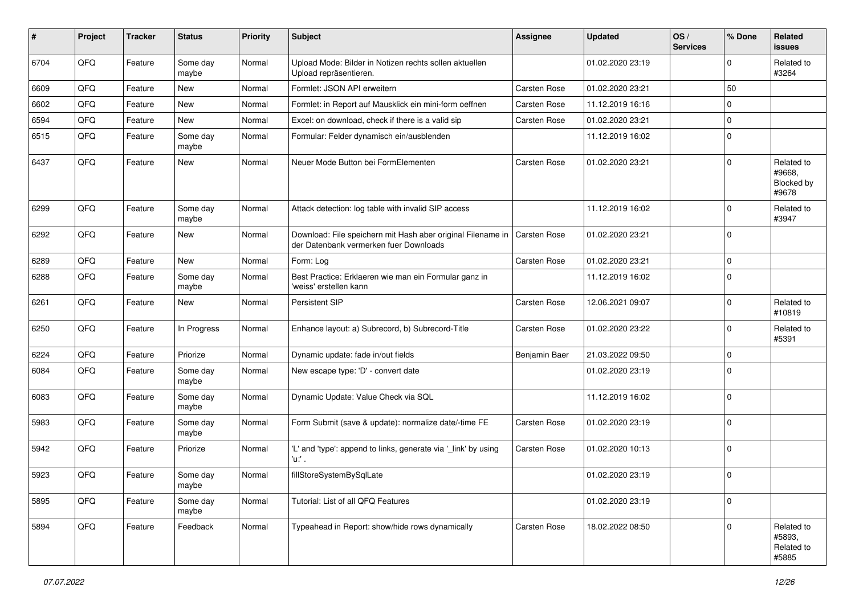| $\sharp$ | Project | <b>Tracker</b> | <b>Status</b>     | <b>Priority</b> | Subject                                                                                               | Assignee      | <b>Updated</b>   | OS/<br><b>Services</b> | % Done      | Related<br>issues                           |
|----------|---------|----------------|-------------------|-----------------|-------------------------------------------------------------------------------------------------------|---------------|------------------|------------------------|-------------|---------------------------------------------|
| 6704     | QFQ     | Feature        | Some day<br>maybe | Normal          | Upload Mode: Bilder in Notizen rechts sollen aktuellen<br>Upload repräsentieren.                      |               | 01.02.2020 23:19 |                        | $\mathbf 0$ | Related to<br>#3264                         |
| 6609     | QFQ     | Feature        | New               | Normal          | Formlet: JSON API erweitern                                                                           | Carsten Rose  | 01.02.2020 23:21 |                        | 50          |                                             |
| 6602     | QFQ     | Feature        | New               | Normal          | Formlet: in Report auf Mausklick ein mini-form oeffnen                                                | Carsten Rose  | 11.12.2019 16:16 |                        | $\mathbf 0$ |                                             |
| 6594     | QFQ     | Feature        | <b>New</b>        | Normal          | Excel: on download, check if there is a valid sip                                                     | Carsten Rose  | 01.02.2020 23:21 |                        | $\pmb{0}$   |                                             |
| 6515     | QFQ     | Feature        | Some day<br>maybe | Normal          | Formular: Felder dynamisch ein/ausblenden                                                             |               | 11.12.2019 16:02 |                        | $\mathbf 0$ |                                             |
| 6437     | QFQ     | Feature        | New               | Normal          | Neuer Mode Button bei FormElementen                                                                   | Carsten Rose  | 01.02.2020 23:21 |                        | $\mathbf 0$ | Related to<br>#9668,<br>Blocked by<br>#9678 |
| 6299     | QFQ     | Feature        | Some day<br>maybe | Normal          | Attack detection: log table with invalid SIP access                                                   |               | 11.12.2019 16:02 |                        | $\mathbf 0$ | Related to<br>#3947                         |
| 6292     | QFQ     | Feature        | New               | Normal          | Download: File speichern mit Hash aber original Filename in<br>der Datenbank vermerken fuer Downloads | Carsten Rose  | 01.02.2020 23:21 |                        | $\mathbf 0$ |                                             |
| 6289     | QFQ     | Feature        | <b>New</b>        | Normal          | Form: Log                                                                                             | Carsten Rose  | 01.02.2020 23:21 |                        | $\pmb{0}$   |                                             |
| 6288     | QFQ     | Feature        | Some day<br>maybe | Normal          | Best Practice: Erklaeren wie man ein Formular ganz in<br>'weiss' erstellen kann                       |               | 11.12.2019 16:02 |                        | $\mathbf 0$ |                                             |
| 6261     | QFQ     | Feature        | New               | Normal          | <b>Persistent SIP</b>                                                                                 | Carsten Rose  | 12.06.2021 09:07 |                        | $\mathbf 0$ | Related to<br>#10819                        |
| 6250     | QFQ     | Feature        | In Progress       | Normal          | Enhance layout: a) Subrecord, b) Subrecord-Title                                                      | Carsten Rose  | 01.02.2020 23:22 |                        | $\mathbf 0$ | Related to<br>#5391                         |
| 6224     | QFQ     | Feature        | Priorize          | Normal          | Dynamic update: fade in/out fields                                                                    | Benjamin Baer | 21.03.2022 09:50 |                        | $\mathbf 0$ |                                             |
| 6084     | QFQ     | Feature        | Some day<br>maybe | Normal          | New escape type: 'D' - convert date                                                                   |               | 01.02.2020 23:19 |                        | $\mathbf 0$ |                                             |
| 6083     | QFQ     | Feature        | Some day<br>maybe | Normal          | Dynamic Update: Value Check via SQL                                                                   |               | 11.12.2019 16:02 |                        | $\mathbf 0$ |                                             |
| 5983     | QFQ     | Feature        | Some day<br>maybe | Normal          | Form Submit (save & update): normalize date/-time FE                                                  | Carsten Rose  | 01.02.2020 23:19 |                        | $\mathbf 0$ |                                             |
| 5942     | QFQ     | Feature        | Priorize          | Normal          | 'L' and 'type': append to links, generate via '_link' by using<br>'u:' .                              | Carsten Rose  | 01.02.2020 10:13 |                        | $\mathbf 0$ |                                             |
| 5923     | QFQ     | Feature        | Some day<br>maybe | Normal          | fillStoreSystemBySqlLate                                                                              |               | 01.02.2020 23:19 |                        | 0           |                                             |
| 5895     | QFQ     | Feature        | Some day<br>maybe | Normal          | Tutorial: List of all QFQ Features                                                                    |               | 01.02.2020 23:19 |                        | $\pmb{0}$   |                                             |
| 5894     | QFQ     | Feature        | Feedback          | Normal          | Typeahead in Report: show/hide rows dynamically                                                       | Carsten Rose  | 18.02.2022 08:50 |                        | $\mathbf 0$ | Related to<br>#5893,<br>Related to<br>#5885 |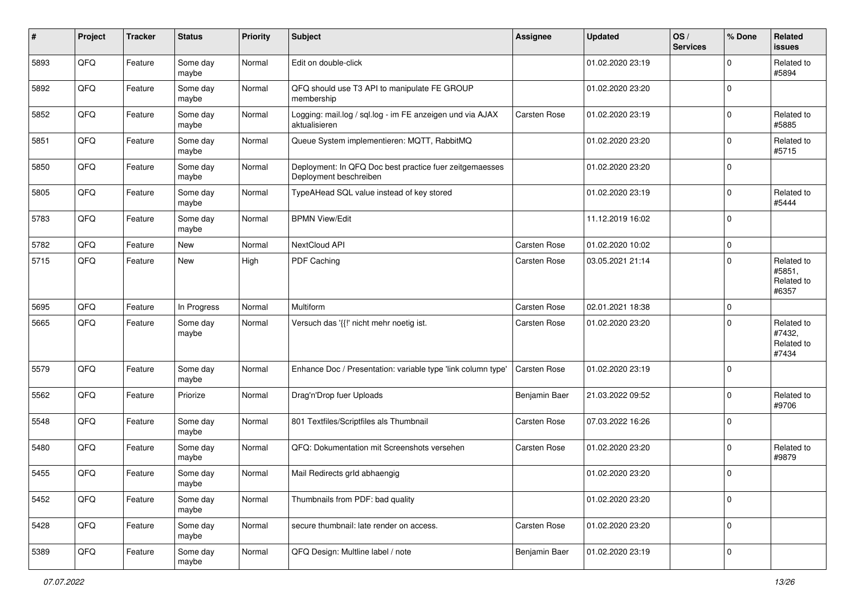| #    | Project | <b>Tracker</b> | <b>Status</b>     | <b>Priority</b> | <b>Subject</b>                                                                    | <b>Assignee</b> | <b>Updated</b>   | OS/<br><b>Services</b> | % Done         | Related<br>issues                           |
|------|---------|----------------|-------------------|-----------------|-----------------------------------------------------------------------------------|-----------------|------------------|------------------------|----------------|---------------------------------------------|
| 5893 | QFQ     | Feature        | Some day<br>maybe | Normal          | Edit on double-click                                                              |                 | 01.02.2020 23:19 |                        | $\mathbf 0$    | Related to<br>#5894                         |
| 5892 | QFQ     | Feature        | Some day<br>maybe | Normal          | QFQ should use T3 API to manipulate FE GROUP<br>membership                        |                 | 01.02.2020 23:20 |                        | $\mathbf 0$    |                                             |
| 5852 | QFQ     | Feature        | Some day<br>maybe | Normal          | Logging: mail.log / sql.log - im FE anzeigen und via AJAX<br>aktualisieren        | Carsten Rose    | 01.02.2020 23:19 |                        | $\mathbf 0$    | Related to<br>#5885                         |
| 5851 | QFQ     | Feature        | Some day<br>maybe | Normal          | Queue System implementieren: MQTT, RabbitMQ                                       |                 | 01.02.2020 23:20 |                        | 0              | Related to<br>#5715                         |
| 5850 | QFQ     | Feature        | Some day<br>maybe | Normal          | Deployment: In QFQ Doc best practice fuer zeitgemaesses<br>Deployment beschreiben |                 | 01.02.2020 23:20 |                        | $\mathbf 0$    |                                             |
| 5805 | QFQ     | Feature        | Some day<br>maybe | Normal          | TypeAHead SQL value instead of key stored                                         |                 | 01.02.2020 23:19 |                        | $\mathbf 0$    | Related to<br>#5444                         |
| 5783 | QFQ     | Feature        | Some day<br>maybe | Normal          | <b>BPMN View/Edit</b>                                                             |                 | 11.12.2019 16:02 |                        | $\mathbf 0$    |                                             |
| 5782 | QFQ     | Feature        | <b>New</b>        | Normal          | NextCloud API                                                                     | Carsten Rose    | 01.02.2020 10:02 |                        | $\mathbf 0$    |                                             |
| 5715 | QFQ     | Feature        | New               | High            | <b>PDF Caching</b>                                                                | Carsten Rose    | 03.05.2021 21:14 |                        | $\mathbf 0$    | Related to<br>#5851,<br>Related to<br>#6357 |
| 5695 | QFQ     | Feature        | In Progress       | Normal          | Multiform                                                                         | Carsten Rose    | 02.01.2021 18:38 |                        | $\mathbf 0$    |                                             |
| 5665 | QFQ     | Feature        | Some day<br>maybe | Normal          | Versuch das '{{!' nicht mehr noetig ist.                                          | Carsten Rose    | 01.02.2020 23:20 |                        | $\mathbf 0$    | Related to<br>#7432,<br>Related to<br>#7434 |
| 5579 | QFQ     | Feature        | Some day<br>maybe | Normal          | Enhance Doc / Presentation: variable type 'link column type'                      | Carsten Rose    | 01.02.2020 23:19 |                        | $\mathbf 0$    |                                             |
| 5562 | QFQ     | Feature        | Priorize          | Normal          | Drag'n'Drop fuer Uploads                                                          | Benjamin Baer   | 21.03.2022 09:52 |                        | $\mathbf 0$    | Related to<br>#9706                         |
| 5548 | QFQ     | Feature        | Some day<br>maybe | Normal          | 801 Textfiles/Scriptfiles als Thumbnail                                           | Carsten Rose    | 07.03.2022 16:26 |                        | $\mathbf 0$    |                                             |
| 5480 | QFQ     | Feature        | Some day<br>maybe | Normal          | QFQ: Dokumentation mit Screenshots versehen                                       | Carsten Rose    | 01.02.2020 23:20 |                        | $\mathbf 0$    | Related to<br>#9879                         |
| 5455 | QFQ     | Feature        | Some day<br>maybe | Normal          | Mail Redirects grld abhaengig                                                     |                 | 01.02.2020 23:20 |                        | $\mathbf 0$    |                                             |
| 5452 | QFQ     | Feature        | Some day<br>maybe | Normal          | Thumbnails from PDF: bad quality                                                  |                 | 01.02.2020 23:20 |                        | $\overline{0}$ |                                             |
| 5428 | QFQ     | Feature        | Some day<br>maybe | Normal          | secure thumbnail: late render on access.                                          | Carsten Rose    | 01.02.2020 23:20 |                        | $\mathbf 0$    |                                             |
| 5389 | QFG     | Feature        | Some day<br>maybe | Normal          | QFQ Design: Multline label / note                                                 | Benjamin Baer   | 01.02.2020 23:19 |                        | $\pmb{0}$      |                                             |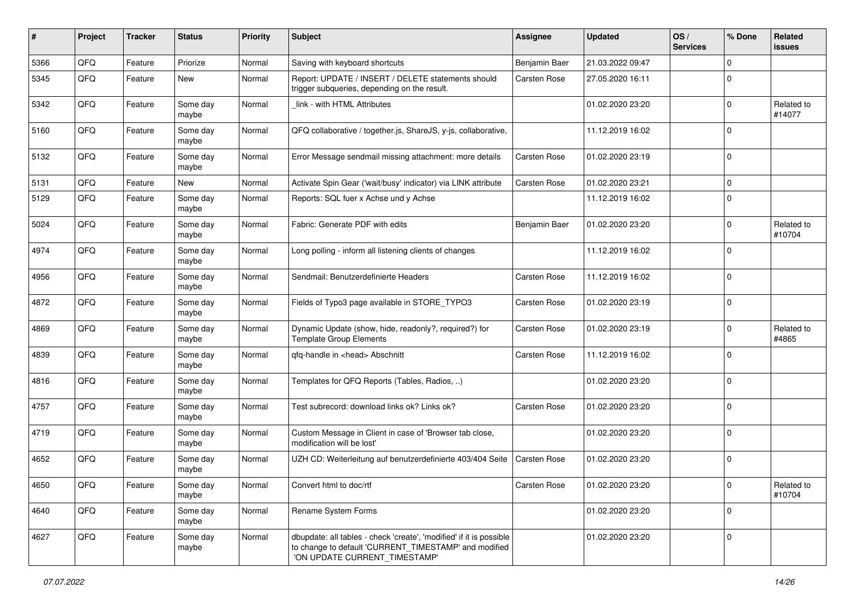| #    | Project | <b>Tracker</b> | <b>Status</b>     | <b>Priority</b> | <b>Subject</b>                                                                                                                                                | Assignee      | <b>Updated</b>   | OS/<br><b>Services</b> | % Done      | Related<br><b>issues</b> |
|------|---------|----------------|-------------------|-----------------|---------------------------------------------------------------------------------------------------------------------------------------------------------------|---------------|------------------|------------------------|-------------|--------------------------|
| 5366 | QFQ     | Feature        | Priorize          | Normal          | Saving with keyboard shortcuts                                                                                                                                | Benjamin Baer | 21.03.2022 09:47 |                        | $\Omega$    |                          |
| 5345 | QFQ     | Feature        | New               | Normal          | Report: UPDATE / INSERT / DELETE statements should<br>trigger subqueries, depending on the result.                                                            | Carsten Rose  | 27.05.2020 16:11 |                        | $\Omega$    |                          |
| 5342 | QFQ     | Feature        | Some day<br>maybe | Normal          | link - with HTML Attributes                                                                                                                                   |               | 01.02.2020 23:20 |                        | $\Omega$    | Related to<br>#14077     |
| 5160 | QFQ     | Feature        | Some day<br>maybe | Normal          | QFQ collaborative / together.js, ShareJS, y-js, collaborative,                                                                                                |               | 11.12.2019 16:02 |                        | $\Omega$    |                          |
| 5132 | QFQ     | Feature        | Some day<br>maybe | Normal          | Error Message sendmail missing attachment: more details                                                                                                       | Carsten Rose  | 01.02.2020 23:19 |                        | $\Omega$    |                          |
| 5131 | QFQ     | Feature        | New               | Normal          | Activate Spin Gear ('wait/busy' indicator) via LINK attribute                                                                                                 | Carsten Rose  | 01.02.2020 23:21 |                        | $\Omega$    |                          |
| 5129 | QFQ     | Feature        | Some day<br>maybe | Normal          | Reports: SQL fuer x Achse und y Achse                                                                                                                         |               | 11.12.2019 16:02 |                        | $\Omega$    |                          |
| 5024 | QFQ     | Feature        | Some day<br>maybe | Normal          | Fabric: Generate PDF with edits                                                                                                                               | Benjamin Baer | 01.02.2020 23:20 |                        | $\Omega$    | Related to<br>#10704     |
| 4974 | QFQ     | Feature        | Some day<br>maybe | Normal          | Long polling - inform all listening clients of changes                                                                                                        |               | 11.12.2019 16:02 |                        | $\Omega$    |                          |
| 4956 | QFQ     | Feature        | Some day<br>maybe | Normal          | Sendmail: Benutzerdefinierte Headers                                                                                                                          | Carsten Rose  | 11.12.2019 16:02 |                        | $\Omega$    |                          |
| 4872 | QFQ     | Feature        | Some day<br>maybe | Normal          | Fields of Typo3 page available in STORE_TYPO3                                                                                                                 | Carsten Rose  | 01.02.2020 23:19 |                        | $\Omega$    |                          |
| 4869 | QFQ     | Feature        | Some day<br>maybe | Normal          | Dynamic Update (show, hide, readonly?, required?) for<br><b>Template Group Elements</b>                                                                       | Carsten Rose  | 01.02.2020 23:19 |                        | $\Omega$    | Related to<br>#4865      |
| 4839 | QFQ     | Feature        | Some day<br>maybe | Normal          | qfq-handle in <head> Abschnitt</head>                                                                                                                         | Carsten Rose  | 11.12.2019 16:02 |                        | $\Omega$    |                          |
| 4816 | QFQ     | Feature        | Some day<br>maybe | Normal          | Templates for QFQ Reports (Tables, Radios, )                                                                                                                  |               | 01.02.2020 23:20 |                        | $\Omega$    |                          |
| 4757 | QFQ     | Feature        | Some day<br>maybe | Normal          | Test subrecord: download links ok? Links ok?                                                                                                                  | Carsten Rose  | 01.02.2020 23:20 |                        | $\Omega$    |                          |
| 4719 | QFQ     | Feature        | Some day<br>maybe | Normal          | Custom Message in Client in case of 'Browser tab close,<br>modification will be lost'                                                                         |               | 01.02.2020 23:20 |                        | $\Omega$    |                          |
| 4652 | QFQ     | Feature        | Some day<br>maybe | Normal          | UZH CD: Weiterleitung auf benutzerdefinierte 403/404 Seite                                                                                                    | Carsten Rose  | 01.02.2020 23:20 |                        | $\Omega$    |                          |
| 4650 | QFQ     | I Feature      | Some day<br>maybe | Normal          | Convert html to doc/rtf                                                                                                                                       | Carsten Rose  | 01.02.2020 23:20 |                        | $\mathbf 0$ | Related to<br>#10704     |
| 4640 | QFQ     | Feature        | Some day<br>maybe | Normal          | Rename System Forms                                                                                                                                           |               | 01.02.2020 23:20 |                        | $\mathbf 0$ |                          |
| 4627 | QFQ     | Feature        | Some day<br>maybe | Normal          | dbupdate: all tables - check 'create', 'modified' if it is possible<br>to change to default 'CURRENT TIMESTAMP' and modified<br>'ON UPDATE CURRENT_TIMESTAMP' |               | 01.02.2020 23:20 |                        | 0           |                          |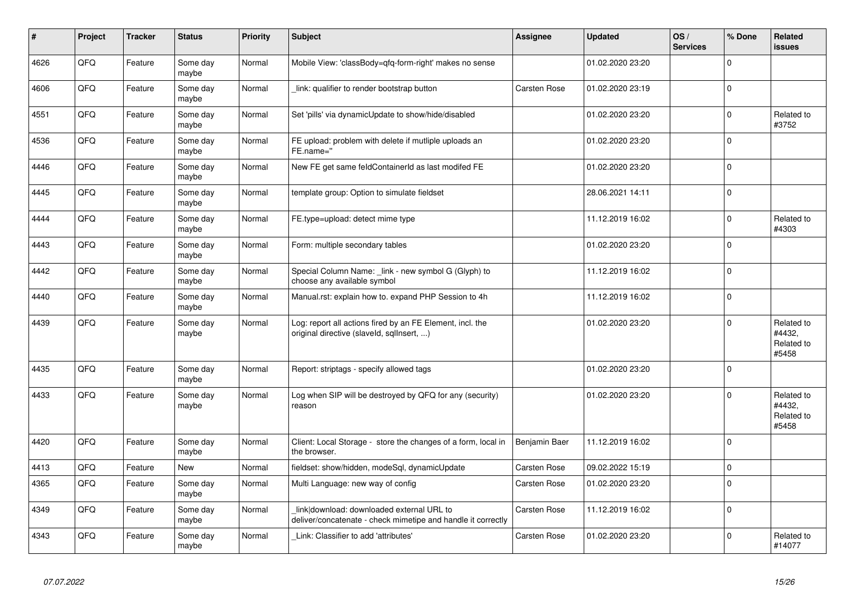| #    | Project | <b>Tracker</b> | <b>Status</b>     | <b>Priority</b> | <b>Subject</b>                                                                                            | <b>Assignee</b>     | <b>Updated</b>   | OS/<br><b>Services</b> | % Done       | Related<br><b>issues</b>                    |
|------|---------|----------------|-------------------|-----------------|-----------------------------------------------------------------------------------------------------------|---------------------|------------------|------------------------|--------------|---------------------------------------------|
| 4626 | QFQ     | Feature        | Some day<br>maybe | Normal          | Mobile View: 'classBody=qfq-form-right' makes no sense                                                    |                     | 01.02.2020 23:20 |                        | $\mathbf 0$  |                                             |
| 4606 | QFQ     | Feature        | Some day<br>maybe | Normal          | link: qualifier to render bootstrap button                                                                | Carsten Rose        | 01.02.2020 23:19 |                        | $\pmb{0}$    |                                             |
| 4551 | QFQ     | Feature        | Some day<br>maybe | Normal          | Set 'pills' via dynamicUpdate to show/hide/disabled                                                       |                     | 01.02.2020 23:20 |                        | $\mathbf 0$  | Related to<br>#3752                         |
| 4536 | QFQ     | Feature        | Some day<br>maybe | Normal          | FE upload: problem with delete if mutliple uploads an<br>FE.name="                                        |                     | 01.02.2020 23:20 |                        | $\mathbf 0$  |                                             |
| 4446 | QFQ     | Feature        | Some day<br>maybe | Normal          | New FE get same feldContainerId as last modifed FE                                                        |                     | 01.02.2020 23:20 |                        | $\mathbf 0$  |                                             |
| 4445 | QFQ     | Feature        | Some day<br>maybe | Normal          | template group: Option to simulate fieldset                                                               |                     | 28.06.2021 14:11 |                        | $\pmb{0}$    |                                             |
| 4444 | QFQ     | Feature        | Some day<br>maybe | Normal          | FE.type=upload: detect mime type                                                                          |                     | 11.12.2019 16:02 |                        | $\pmb{0}$    | Related to<br>#4303                         |
| 4443 | QFQ     | Feature        | Some day<br>maybe | Normal          | Form: multiple secondary tables                                                                           |                     | 01.02.2020 23:20 |                        | $\pmb{0}$    |                                             |
| 4442 | QFQ     | Feature        | Some day<br>maybe | Normal          | Special Column Name: link - new symbol G (Glyph) to<br>choose any available symbol                        |                     | 11.12.2019 16:02 |                        | $\mathbf 0$  |                                             |
| 4440 | QFQ     | Feature        | Some day<br>maybe | Normal          | Manual.rst: explain how to. expand PHP Session to 4h                                                      |                     | 11.12.2019 16:02 |                        | $\mathbf 0$  |                                             |
| 4439 | QFQ     | Feature        | Some day<br>maybe | Normal          | Log: report all actions fired by an FE Element, incl. the<br>original directive (slaveld, sqllnsert, )    |                     | 01.02.2020 23:20 |                        | $\mathbf 0$  | Related to<br>#4432,<br>Related to<br>#5458 |
| 4435 | QFQ     | Feature        | Some day<br>maybe | Normal          | Report: striptags - specify allowed tags                                                                  |                     | 01.02.2020 23:20 |                        | $\mathbf 0$  |                                             |
| 4433 | QFQ     | Feature        | Some day<br>maybe | Normal          | Log when SIP will be destroyed by QFQ for any (security)<br>reason                                        |                     | 01.02.2020 23:20 |                        | $\Omega$     | Related to<br>#4432,<br>Related to<br>#5458 |
| 4420 | QFQ     | Feature        | Some day<br>maybe | Normal          | Client: Local Storage - store the changes of a form, local in<br>the browser.                             | Benjamin Baer       | 11.12.2019 16:02 |                        | $\mathbf{0}$ |                                             |
| 4413 | QFQ     | Feature        | New               | Normal          | fieldset: show/hidden, modeSql, dynamicUpdate                                                             | Carsten Rose        | 09.02.2022 15:19 |                        | $\pmb{0}$    |                                             |
| 4365 | QFQ     | Feature        | Some day<br>maybe | Normal          | Multi Language: new way of config                                                                         | <b>Carsten Rose</b> | 01.02.2020 23:20 |                        | $\mathbf 0$  |                                             |
| 4349 | QFQ     | Feature        | Some day<br>maybe | Normal          | link download: downloaded external URL to<br>deliver/concatenate - check mimetipe and handle it correctly | Carsten Rose        | 11.12.2019 16:02 |                        | $\mathbf 0$  |                                             |
| 4343 | QFQ     | Feature        | Some day<br>maybe | Normal          | Link: Classifier to add 'attributes'                                                                      | <b>Carsten Rose</b> | 01.02.2020 23:20 |                        | $\Omega$     | Related to<br>#14077                        |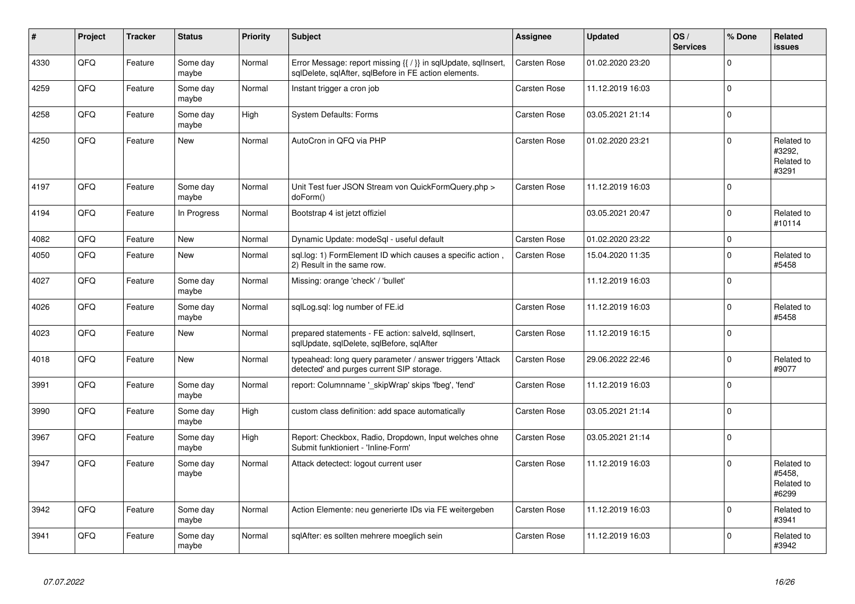| #    | Project | <b>Tracker</b> | <b>Status</b>     | <b>Priority</b> | <b>Subject</b>                                                                                                          | Assignee            | <b>Updated</b>   | OS/<br><b>Services</b> | % Done       | Related<br>issues                           |
|------|---------|----------------|-------------------|-----------------|-------------------------------------------------------------------------------------------------------------------------|---------------------|------------------|------------------------|--------------|---------------------------------------------|
| 4330 | QFQ     | Feature        | Some day<br>maybe | Normal          | Error Message: report missing {{ / }} in sqlUpdate, sqlInsert,<br>sqlDelete, sqlAfter, sqlBefore in FE action elements. | <b>Carsten Rose</b> | 01.02.2020 23:20 |                        | $\pmb{0}$    |                                             |
| 4259 | QFQ     | Feature        | Some dav<br>maybe | Normal          | Instant trigger a cron job                                                                                              | <b>Carsten Rose</b> | 11.12.2019 16:03 |                        | $\mathbf 0$  |                                             |
| 4258 | QFQ     | Feature        | Some day<br>maybe | High            | <b>System Defaults: Forms</b>                                                                                           | Carsten Rose        | 03.05.2021 21:14 |                        | $\pmb{0}$    |                                             |
| 4250 | QFQ     | Feature        | New               | Normal          | AutoCron in QFQ via PHP                                                                                                 | Carsten Rose        | 01.02.2020 23:21 |                        | $\mathbf 0$  | Related to<br>#3292.<br>Related to<br>#3291 |
| 4197 | QFQ     | Feature        | Some dav<br>maybe | Normal          | Unit Test fuer JSON Stream von QuickFormQuery.php ><br>doForm()                                                         | Carsten Rose        | 11.12.2019 16:03 |                        | $\mathbf 0$  |                                             |
| 4194 | QFQ     | Feature        | In Progress       | Normal          | Bootstrap 4 ist jetzt offiziel                                                                                          |                     | 03.05.2021 20:47 |                        | $\mathbf 0$  | Related to<br>#10114                        |
| 4082 | QFQ     | Feature        | <b>New</b>        | Normal          | Dynamic Update: modeSql - useful default                                                                                | Carsten Rose        | 01.02.2020 23:22 |                        | $\mathbf{0}$ |                                             |
| 4050 | QFQ     | Feature        | New               | Normal          | sql.log: 1) FormElement ID which causes a specific action,<br>2) Result in the same row.                                | <b>Carsten Rose</b> | 15.04.2020 11:35 |                        | $\pmb{0}$    | Related to<br>#5458                         |
| 4027 | QFQ     | Feature        | Some day<br>maybe | Normal          | Missing: orange 'check' / 'bullet'                                                                                      |                     | 11.12.2019 16:03 |                        | $\mathbf{0}$ |                                             |
| 4026 | QFQ     | Feature        | Some day<br>maybe | Normal          | sqlLog.sql: log number of FE.id                                                                                         | <b>Carsten Rose</b> | 11.12.2019 16:03 |                        | $\mathbf 0$  | Related to<br>#5458                         |
| 4023 | QFQ     | Feature        | New               | Normal          | prepared statements - FE action: salveld, sqllnsert,<br>sqlUpdate, sqlDelete, sqlBefore, sqlAfter                       | Carsten Rose        | 11.12.2019 16:15 |                        | $\pmb{0}$    |                                             |
| 4018 | QFQ     | Feature        | <b>New</b>        | Normal          | typeahead: long query parameter / answer triggers 'Attack<br>detected' and purges current SIP storage.                  | Carsten Rose        | 29.06.2022 22:46 |                        | $\pmb{0}$    | Related to<br>#9077                         |
| 3991 | QFQ     | Feature        | Some day<br>maybe | Normal          | report: Columnname ' skipWrap' skips 'fbeg', 'fend'                                                                     | <b>Carsten Rose</b> | 11.12.2019 16:03 |                        | $\mathbf 0$  |                                             |
| 3990 | QFQ     | Feature        | Some day<br>maybe | High            | custom class definition: add space automatically                                                                        | <b>Carsten Rose</b> | 03.05.2021 21:14 |                        | $\pmb{0}$    |                                             |
| 3967 | QFQ     | Feature        | Some day<br>maybe | High            | Report: Checkbox, Radio, Dropdown, Input welches ohne<br>Submit funktioniert - 'Inline-Form'                            | Carsten Rose        | 03.05.2021 21:14 |                        | $\pmb{0}$    |                                             |
| 3947 | QFQ     | Feature        | Some day<br>maybe | Normal          | Attack detectect: logout current user                                                                                   | <b>Carsten Rose</b> | 11.12.2019 16:03 |                        | $\Omega$     | Related to<br>#5458.<br>Related to<br>#6299 |
| 3942 | QFQ     | Feature        | Some day<br>maybe | Normal          | Action Elemente: neu generierte IDs via FE weitergeben                                                                  | Carsten Rose        | 11.12.2019 16:03 |                        | $\pmb{0}$    | Related to<br>#3941                         |
| 3941 | QFQ     | Feature        | Some day<br>maybe | Normal          | sqlAfter: es sollten mehrere moeglich sein                                                                              | <b>Carsten Rose</b> | 11.12.2019 16:03 |                        | $\mathbf 0$  | Related to<br>#3942                         |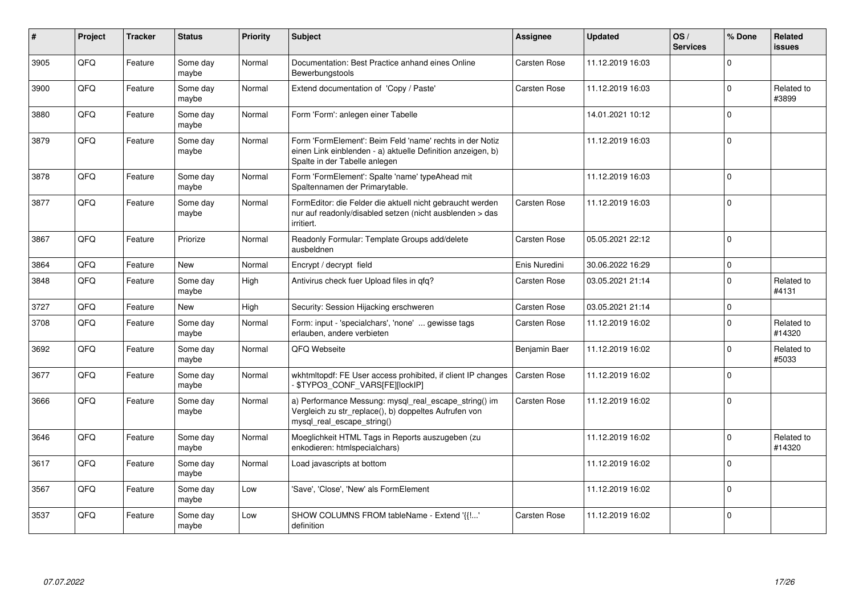| #    | Project | <b>Tracker</b> | <b>Status</b>     | Priority | <b>Subject</b>                                                                                                                                           | <b>Assignee</b>     | <b>Updated</b>   | OS/<br><b>Services</b> | % Done       | <b>Related</b><br><b>issues</b> |
|------|---------|----------------|-------------------|----------|----------------------------------------------------------------------------------------------------------------------------------------------------------|---------------------|------------------|------------------------|--------------|---------------------------------|
| 3905 | QFQ     | Feature        | Some day<br>maybe | Normal   | Documentation: Best Practice anhand eines Online<br>Bewerbungstools                                                                                      | <b>Carsten Rose</b> | 11.12.2019 16:03 |                        | $\Omega$     |                                 |
| 3900 | QFQ     | Feature        | Some day<br>maybe | Normal   | Extend documentation of 'Copy / Paste'                                                                                                                   | <b>Carsten Rose</b> | 11.12.2019 16:03 |                        | $\mathbf 0$  | Related to<br>#3899             |
| 3880 | QFQ     | Feature        | Some day<br>maybe | Normal   | Form 'Form': anlegen einer Tabelle                                                                                                                       |                     | 14.01.2021 10:12 |                        | $\Omega$     |                                 |
| 3879 | QFQ     | Feature        | Some day<br>maybe | Normal   | Form 'FormElement': Beim Feld 'name' rechts in der Notiz<br>einen Link einblenden - a) aktuelle Definition anzeigen, b)<br>Spalte in der Tabelle anlegen |                     | 11.12.2019 16:03 |                        | $\Omega$     |                                 |
| 3878 | QFQ     | Feature        | Some day<br>maybe | Normal   | Form 'FormElement': Spalte 'name' typeAhead mit<br>Spaltennamen der Primarytable.                                                                        |                     | 11.12.2019 16:03 |                        | $\mathbf{0}$ |                                 |
| 3877 | QFQ     | Feature        | Some day<br>maybe | Normal   | FormEditor: die Felder die aktuell nicht gebraucht werden<br>nur auf readonly/disabled setzen (nicht ausblenden > das<br>irritiert.                      | <b>Carsten Rose</b> | 11.12.2019 16:03 |                        | $\mathbf 0$  |                                 |
| 3867 | QFQ     | Feature        | Priorize          | Normal   | Readonly Formular: Template Groups add/delete<br>ausbeldnen                                                                                              | Carsten Rose        | 05.05.2021 22:12 |                        | $\Omega$     |                                 |
| 3864 | QFQ     | Feature        | New               | Normal   | Encrypt / decrypt field                                                                                                                                  | Enis Nuredini       | 30.06.2022 16:29 |                        | $\mathbf 0$  |                                 |
| 3848 | QFQ     | Feature        | Some day<br>maybe | High     | Antivirus check fuer Upload files in qfq?                                                                                                                | <b>Carsten Rose</b> | 03.05.2021 21:14 |                        | $\mathbf 0$  | Related to<br>#4131             |
| 3727 | QFQ     | Feature        | New               | High     | Security: Session Hijacking erschweren                                                                                                                   | Carsten Rose        | 03.05.2021 21:14 |                        | $\mathbf 0$  |                                 |
| 3708 | QFQ     | Feature        | Some dav<br>maybe | Normal   | Form: input - 'specialchars', 'none'  gewisse tags<br>erlauben, andere verbieten                                                                         | Carsten Rose        | 11.12.2019 16:02 |                        | $\mathbf 0$  | Related to<br>#14320            |
| 3692 | QFQ     | Feature        | Some day<br>maybe | Normal   | QFQ Webseite                                                                                                                                             | Benjamin Baer       | 11.12.2019 16:02 |                        | $\mathbf 0$  | Related to<br>#5033             |
| 3677 | QFQ     | Feature        | Some dav<br>maybe | Normal   | wkhtmltopdf: FE User access prohibited, if client IP changes<br>- \$TYPO3_CONF_VARS[FE][lockIP]                                                          | Carsten Rose        | 11.12.2019 16:02 |                        | $\mathbf 0$  |                                 |
| 3666 | QFQ     | Feature        | Some day<br>maybe | Normal   | a) Performance Messung: mysql_real_escape_string() im<br>Vergleich zu str_replace(), b) doppeltes Aufrufen von<br>mysql real escape string()             | <b>Carsten Rose</b> | 11.12.2019 16:02 |                        | $\Omega$     |                                 |
| 3646 | QFQ     | Feature        | Some day<br>maybe | Normal   | Moeglichkeit HTML Tags in Reports auszugeben (zu<br>enkodieren: htmlspecialchars)                                                                        |                     | 11.12.2019 16:02 |                        | $\mathbf 0$  | Related to<br>#14320            |
| 3617 | QFQ     | Feature        | Some dav<br>maybe | Normal   | Load javascripts at bottom                                                                                                                               |                     | 11.12.2019 16:02 |                        | $\Omega$     |                                 |
| 3567 | QFQ     | Feature        | Some day<br>maybe | Low      | 'Save', 'Close', 'New' als FormElement                                                                                                                   |                     | 11.12.2019 16:02 |                        | $\Omega$     |                                 |
| 3537 | QFQ     | Feature        | Some day<br>maybe | Low      | SHOW COLUMNS FROM tableName - Extend '{{!'<br>definition                                                                                                 | Carsten Rose        | 11.12.2019 16:02 |                        | $\mathbf{0}$ |                                 |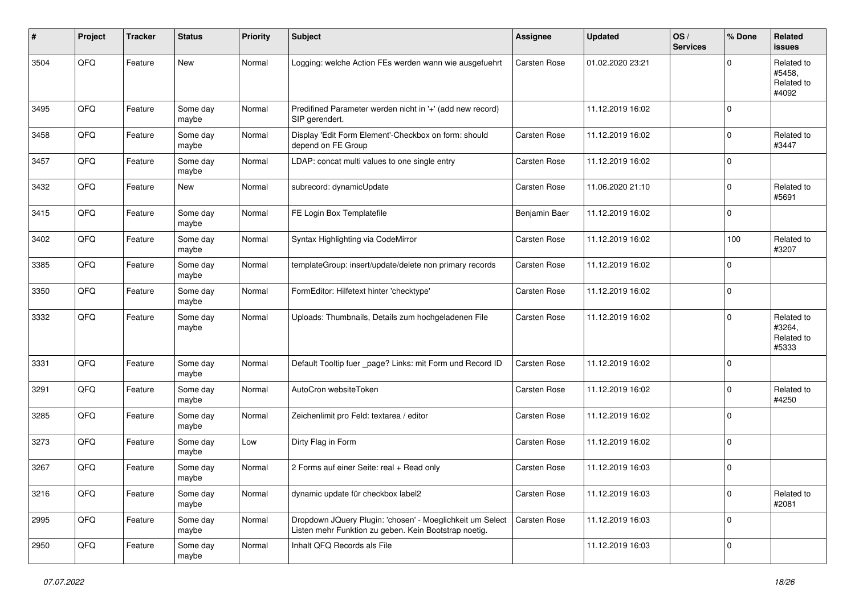| #    | Project | <b>Tracker</b> | <b>Status</b>     | <b>Priority</b> | <b>Subject</b>                                                                                                     | <b>Assignee</b> | <b>Updated</b>   | OS/<br><b>Services</b> | % Done         | Related<br>issues                           |
|------|---------|----------------|-------------------|-----------------|--------------------------------------------------------------------------------------------------------------------|-----------------|------------------|------------------------|----------------|---------------------------------------------|
| 3504 | QFQ     | Feature        | New               | Normal          | Logging: welche Action FEs werden wann wie ausgefuehrt                                                             | Carsten Rose    | 01.02.2020 23:21 |                        | $\Omega$       | Related to<br>#5458.<br>Related to<br>#4092 |
| 3495 | QFQ     | Feature        | Some day<br>maybe | Normal          | Predifined Parameter werden nicht in '+' (add new record)<br>SIP gerendert.                                        |                 | 11.12.2019 16:02 |                        | $\mathbf 0$    |                                             |
| 3458 | QFQ     | Feature        | Some day<br>maybe | Normal          | Display 'Edit Form Element'-Checkbox on form: should<br>depend on FE Group                                         | Carsten Rose    | 11.12.2019 16:02 |                        | $\mathbf 0$    | Related to<br>#3447                         |
| 3457 | QFQ     | Feature        | Some day<br>maybe | Normal          | LDAP: concat multi values to one single entry                                                                      | Carsten Rose    | 11.12.2019 16:02 |                        | $\mathbf 0$    |                                             |
| 3432 | QFQ     | Feature        | New               | Normal          | subrecord: dynamicUpdate                                                                                           | Carsten Rose    | 11.06.2020 21:10 |                        | $\mathbf 0$    | Related to<br>#5691                         |
| 3415 | QFQ     | Feature        | Some day<br>maybe | Normal          | FE Login Box Templatefile                                                                                          | Benjamin Baer   | 11.12.2019 16:02 |                        | $\mathbf 0$    |                                             |
| 3402 | QFQ     | Feature        | Some day<br>maybe | Normal          | Syntax Highlighting via CodeMirror                                                                                 | Carsten Rose    | 11.12.2019 16:02 |                        | 100            | Related to<br>#3207                         |
| 3385 | QFQ     | Feature        | Some day<br>maybe | Normal          | templateGroup: insert/update/delete non primary records                                                            | Carsten Rose    | 11.12.2019 16:02 |                        | $\mathbf 0$    |                                             |
| 3350 | QFQ     | Feature        | Some day<br>maybe | Normal          | FormEditor: Hilfetext hinter 'checktype'                                                                           | Carsten Rose    | 11.12.2019 16:02 |                        | $\mathbf 0$    |                                             |
| 3332 | QFQ     | Feature        | Some day<br>maybe | Normal          | Uploads: Thumbnails, Details zum hochgeladenen File                                                                | Carsten Rose    | 11.12.2019 16:02 |                        | $\mathbf 0$    | Related to<br>#3264,<br>Related to<br>#5333 |
| 3331 | QFQ     | Feature        | Some day<br>maybe | Normal          | Default Tooltip fuer _page? Links: mit Form und Record ID                                                          | Carsten Rose    | 11.12.2019 16:02 |                        | $\mathbf 0$    |                                             |
| 3291 | QFQ     | Feature        | Some day<br>maybe | Normal          | AutoCron websiteToken                                                                                              | Carsten Rose    | 11.12.2019 16:02 |                        | 0              | Related to<br>#4250                         |
| 3285 | QFQ     | Feature        | Some day<br>maybe | Normal          | Zeichenlimit pro Feld: textarea / editor                                                                           | Carsten Rose    | 11.12.2019 16:02 |                        | 0              |                                             |
| 3273 | QFQ     | Feature        | Some day<br>maybe | Low             | Dirty Flag in Form                                                                                                 | Carsten Rose    | 11.12.2019 16:02 |                        | $\mathbf 0$    |                                             |
| 3267 | QFQ     | Feature        | Some day<br>maybe | Normal          | 2 Forms auf einer Seite: real + Read only                                                                          | Carsten Rose    | 11.12.2019 16:03 |                        | $\mathbf 0$    |                                             |
| 3216 | QFG     | Feature        | Some day<br>maybe | Normal          | dynamic update für checkbox label2                                                                                 | Carsten Rose    | 11.12.2019 16:03 |                        | $\overline{0}$ | Related to<br>#2081                         |
| 2995 | QFQ     | Feature        | Some day<br>maybe | Normal          | Dropdown JQuery Plugin: 'chosen' - Moeglichkeit um Select<br>Listen mehr Funktion zu geben. Kein Bootstrap noetig. | Carsten Rose    | 11.12.2019 16:03 |                        | $\pmb{0}$      |                                             |
| 2950 | QFG     | Feature        | Some day<br>maybe | Normal          | Inhalt QFQ Records als File                                                                                        |                 | 11.12.2019 16:03 |                        | $\pmb{0}$      |                                             |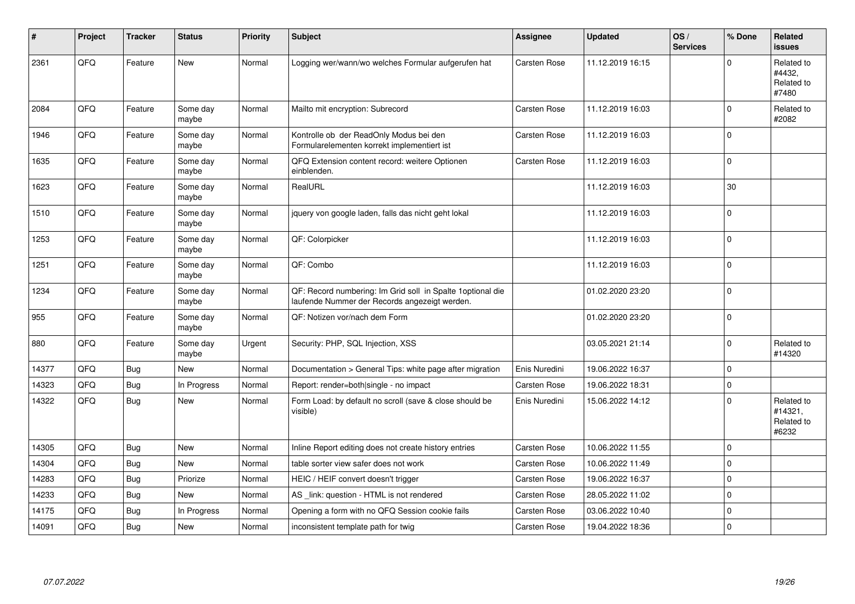| #     | Project | <b>Tracker</b> | <b>Status</b>     | <b>Priority</b> | <b>Subject</b>                                                                                               | <b>Assignee</b>     | <b>Updated</b>   | OS/<br><b>Services</b> | % Done       | Related<br>issues                            |
|-------|---------|----------------|-------------------|-----------------|--------------------------------------------------------------------------------------------------------------|---------------------|------------------|------------------------|--------------|----------------------------------------------|
| 2361  | QFQ     | Feature        | New               | Normal          | Logging wer/wann/wo welches Formular aufgerufen hat                                                          | Carsten Rose        | 11.12.2019 16:15 |                        | $\Omega$     | Related to<br>#4432,<br>Related to<br>#7480  |
| 2084  | QFQ     | Feature        | Some day<br>maybe | Normal          | Mailto mit encryption: Subrecord                                                                             | Carsten Rose        | 11.12.2019 16:03 |                        | $\mathbf 0$  | Related to<br>#2082                          |
| 1946  | QFQ     | Feature        | Some day<br>maybe | Normal          | Kontrolle ob der ReadOnly Modus bei den<br>Formularelementen korrekt implementiert ist                       | Carsten Rose        | 11.12.2019 16:03 |                        | $\mathbf 0$  |                                              |
| 1635  | QFQ     | Feature        | Some day<br>maybe | Normal          | QFQ Extension content record: weitere Optionen<br>einblenden.                                                | Carsten Rose        | 11.12.2019 16:03 |                        | $\pmb{0}$    |                                              |
| 1623  | QFQ     | Feature        | Some day<br>maybe | Normal          | RealURL                                                                                                      |                     | 11.12.2019 16:03 |                        | 30           |                                              |
| 1510  | QFQ     | Feature        | Some day<br>maybe | Normal          | jquery von google laden, falls das nicht geht lokal                                                          |                     | 11.12.2019 16:03 |                        | $\mathbf{0}$ |                                              |
| 1253  | QFQ     | Feature        | Some day<br>maybe | Normal          | QF: Colorpicker                                                                                              |                     | 11.12.2019 16:03 |                        | $\mathbf 0$  |                                              |
| 1251  | QFQ     | Feature        | Some day<br>maybe | Normal          | QF: Combo                                                                                                    |                     | 11.12.2019 16:03 |                        | $\mathbf 0$  |                                              |
| 1234  | QFQ     | Feature        | Some day<br>maybe | Normal          | QF: Record numbering: Im Grid soll in Spalte 1 optional die<br>laufende Nummer der Records angezeigt werden. |                     | 01.02.2020 23:20 |                        | $\pmb{0}$    |                                              |
| 955   | QFG     | Feature        | Some day<br>maybe | Normal          | QF: Notizen vor/nach dem Form                                                                                |                     | 01.02.2020 23:20 |                        | $\pmb{0}$    |                                              |
| 880   | QFQ     | Feature        | Some day<br>maybe | Urgent          | Security: PHP, SQL Injection, XSS                                                                            |                     | 03.05.2021 21:14 |                        | $\mathbf 0$  | Related to<br>#14320                         |
| 14377 | QFQ     | <b>Bug</b>     | <b>New</b>        | Normal          | Documentation > General Tips: white page after migration                                                     | Enis Nuredini       | 19.06.2022 16:37 |                        | $\pmb{0}$    |                                              |
| 14323 | QFQ     | Bug            | In Progress       | Normal          | Report: render=both single - no impact                                                                       | Carsten Rose        | 19.06.2022 18:31 |                        | $\pmb{0}$    |                                              |
| 14322 | QFQ     | Bug            | New               | Normal          | Form Load: by default no scroll (save & close should be<br>visible)                                          | Enis Nuredini       | 15.06.2022 14:12 |                        | $\mathbf 0$  | Related to<br>#14321,<br>Related to<br>#6232 |
| 14305 | QFQ     | Bug            | <b>New</b>        | Normal          | Inline Report editing does not create history entries                                                        | <b>Carsten Rose</b> | 10.06.2022 11:55 |                        | $\mathbf 0$  |                                              |
| 14304 | QFQ     | <b>Bug</b>     | New               | Normal          | table sorter view safer does not work                                                                        | <b>Carsten Rose</b> | 10.06.2022 11:49 |                        | $\mathbf 0$  |                                              |
| 14283 | QFQ     | <b>Bug</b>     | Priorize          | Normal          | HEIC / HEIF convert doesn't trigger                                                                          | <b>Carsten Rose</b> | 19.06.2022 16:37 |                        | $\mathbf{0}$ |                                              |
| 14233 | QFQ     | <b>Bug</b>     | <b>New</b>        | Normal          | AS _link: question - HTML is not rendered                                                                    | Carsten Rose        | 28.05.2022 11:02 |                        | $\mathbf{0}$ |                                              |
| 14175 | QFQ     | <b>Bug</b>     | In Progress       | Normal          | Opening a form with no QFQ Session cookie fails                                                              | <b>Carsten Rose</b> | 03.06.2022 10:40 |                        | $\pmb{0}$    |                                              |
| 14091 | QFQ     | Bug            | New               | Normal          | inconsistent template path for twig                                                                          | <b>Carsten Rose</b> | 19.04.2022 18:36 |                        | $\mathbf 0$  |                                              |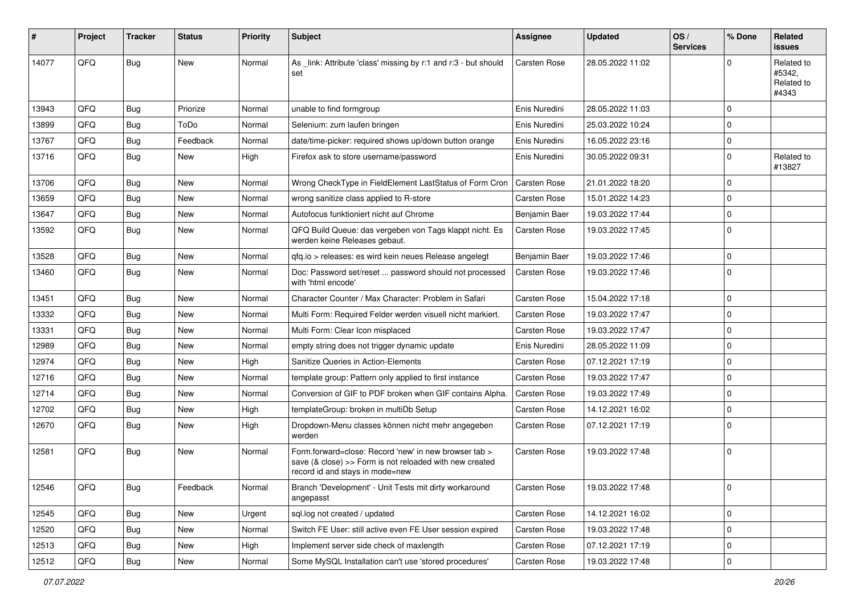| ∦     | Project | <b>Tracker</b> | <b>Status</b> | <b>Priority</b> | <b>Subject</b>                                                                                                                                      | <b>Assignee</b>     | <b>Updated</b>   | OS/<br><b>Services</b> | % Done      | <b>Related</b><br><b>issues</b>             |
|-------|---------|----------------|---------------|-----------------|-----------------------------------------------------------------------------------------------------------------------------------------------------|---------------------|------------------|------------------------|-------------|---------------------------------------------|
| 14077 | QFQ     | Bug            | <b>New</b>    | Normal          | As _link: Attribute 'class' missing by r:1 and r:3 - but should<br>set                                                                              | Carsten Rose        | 28.05.2022 11:02 |                        | $\Omega$    | Related to<br>#5342,<br>Related to<br>#4343 |
| 13943 | QFQ     | Bug            | Priorize      | Normal          | unable to find formgroup                                                                                                                            | Enis Nuredini       | 28.05.2022 11:03 |                        | $\mathbf 0$ |                                             |
| 13899 | QFQ     | <b>Bug</b>     | ToDo          | Normal          | Selenium: zum laufen bringen                                                                                                                        | Enis Nuredini       | 25.03.2022 10:24 |                        | $\mathbf 0$ |                                             |
| 13767 | QFQ     | <b>Bug</b>     | Feedback      | Normal          | date/time-picker: required shows up/down button orange                                                                                              | Enis Nuredini       | 16.05.2022 23:16 |                        | $\mathbf 0$ |                                             |
| 13716 | QFQ     | Bug            | <b>New</b>    | High            | Firefox ask to store username/password                                                                                                              | Enis Nuredini       | 30.05.2022 09:31 |                        | $\Omega$    | Related to<br>#13827                        |
| 13706 | QFQ     | <b>Bug</b>     | <b>New</b>    | Normal          | Wrong CheckType in FieldElement LastStatus of Form Cron                                                                                             | <b>Carsten Rose</b> | 21.01.2022 18:20 |                        | $\mathbf 0$ |                                             |
| 13659 | QFQ     | <b>Bug</b>     | <b>New</b>    | Normal          | wrong sanitize class applied to R-store                                                                                                             | <b>Carsten Rose</b> | 15.01.2022 14:23 |                        | $\mathbf 0$ |                                             |
| 13647 | QFQ     | <b>Bug</b>     | <b>New</b>    | Normal          | Autofocus funktioniert nicht auf Chrome                                                                                                             | Benjamin Baer       | 19.03.2022 17:44 |                        | $\mathbf 0$ |                                             |
| 13592 | QFQ     | Bug            | New           | Normal          | QFQ Build Queue: das vergeben von Tags klappt nicht. Es<br>werden keine Releases gebaut.                                                            | Carsten Rose        | 19.03.2022 17:45 |                        | $\mathbf 0$ |                                             |
| 13528 | QFQ     | <b>Bug</b>     | <b>New</b>    | Normal          | gfg.io > releases: es wird kein neues Release angelegt                                                                                              | Benjamin Baer       | 19.03.2022 17:46 |                        | $\mathbf 0$ |                                             |
| 13460 | QFQ     | Bug            | New           | Normal          | Doc: Password set/reset  password should not processed<br>with 'html encode'                                                                        | Carsten Rose        | 19.03.2022 17:46 |                        | $\Omega$    |                                             |
| 13451 | QFQ     | Bug            | <b>New</b>    | Normal          | Character Counter / Max Character: Problem in Safari                                                                                                | <b>Carsten Rose</b> | 15.04.2022 17:18 |                        | $\mathbf 0$ |                                             |
| 13332 | QFQ     | <b>Bug</b>     | <b>New</b>    | Normal          | Multi Form: Required Felder werden visuell nicht markiert.                                                                                          | <b>Carsten Rose</b> | 19.03.2022 17:47 |                        | $\mathbf 0$ |                                             |
| 13331 | QFQ     | Bug            | <b>New</b>    | Normal          | Multi Form: Clear Icon misplaced                                                                                                                    | <b>Carsten Rose</b> | 19.03.2022 17:47 |                        | $\mathbf 0$ |                                             |
| 12989 | QFQ     | <b>Bug</b>     | <b>New</b>    | Normal          | empty string does not trigger dynamic update                                                                                                        | Enis Nuredini       | 28.05.2022 11:09 |                        | $\mathbf 0$ |                                             |
| 12974 | QFQ     | <b>Bug</b>     | <b>New</b>    | High            | Sanitize Queries in Action-Elements                                                                                                                 | Carsten Rose        | 07.12.2021 17:19 |                        | $\mathbf 0$ |                                             |
| 12716 | QFQ     | <b>Bug</b>     | New           | Normal          | template group: Pattern only applied to first instance                                                                                              | <b>Carsten Rose</b> | 19.03.2022 17:47 |                        | $\mathbf 0$ |                                             |
| 12714 | QFQ     | <b>Bug</b>     | <b>New</b>    | Normal          | Conversion of GIF to PDF broken when GIF contains Alpha.                                                                                            | <b>Carsten Rose</b> | 19.03.2022 17:49 |                        | $\mathbf 0$ |                                             |
| 12702 | QFQ     | <b>Bug</b>     | <b>New</b>    | High            | templateGroup: broken in multiDb Setup                                                                                                              | <b>Carsten Rose</b> | 14.12.2021 16:02 |                        | $\mathbf 0$ |                                             |
| 12670 | QFQ     | Bug            | New           | High            | Dropdown-Menu classes können nicht mehr angegeben<br>werden                                                                                         | Carsten Rose        | 07.12.2021 17:19 |                        | $\Omega$    |                                             |
| 12581 | QFQ     | Bug            | <b>New</b>    | Normal          | Form.forward=close: Record 'new' in new browser tab ><br>save (& close) >> Form is not reloaded with new created<br>record id and stays in mode=new | <b>Carsten Rose</b> | 19.03.2022 17:48 |                        | $\mathbf 0$ |                                             |
| 12546 | QFQ     | <b>Bug</b>     | Feedback      | Normal          | Branch 'Development' - Unit Tests mit dirty workaround<br>angepasst                                                                                 | <b>Carsten Rose</b> | 19.03.2022 17:48 |                        | 0           |                                             |
| 12545 | QFQ     | Bug            | New           | Urgent          | sql.log not created / updated                                                                                                                       | Carsten Rose        | 14.12.2021 16:02 |                        | $\mathbf 0$ |                                             |
| 12520 | QFQ     | <b>Bug</b>     | New           | Normal          | Switch FE User: still active even FE User session expired                                                                                           | Carsten Rose        | 19.03.2022 17:48 |                        | 0           |                                             |
| 12513 | QFQ     | Bug            | New           | High            | Implement server side check of maxlength                                                                                                            | Carsten Rose        | 07.12.2021 17:19 |                        | $\mathbf 0$ |                                             |
| 12512 | QFQ     | Bug            | New           | Normal          | Some MySQL Installation can't use 'stored procedures'                                                                                               | Carsten Rose        | 19.03.2022 17:48 |                        | $\pmb{0}$   |                                             |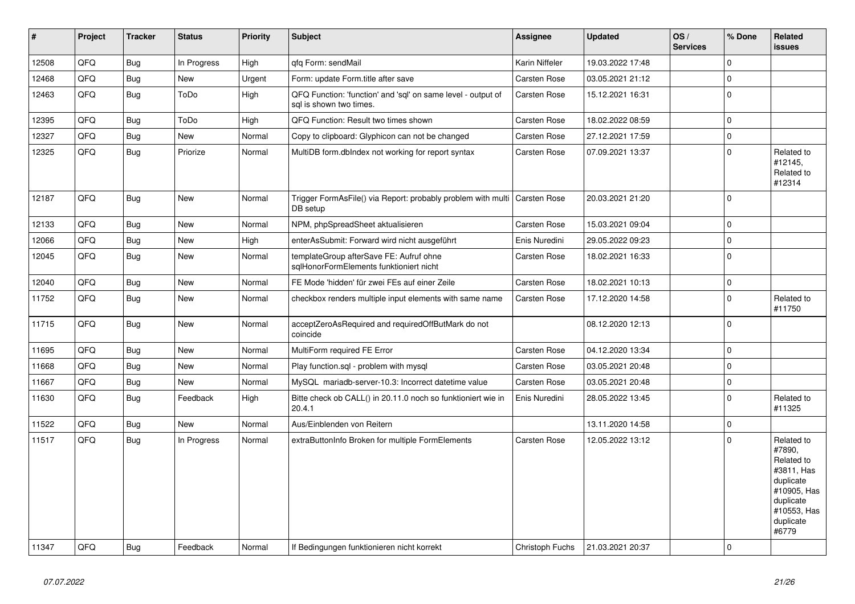| #     | Project | <b>Tracker</b> | <b>Status</b> | Priority | <b>Subject</b>                                                                          | Assignee            | <b>Updated</b>   | OS/<br><b>Services</b> | % Done      | Related<br><b>issues</b>                                                                                                       |
|-------|---------|----------------|---------------|----------|-----------------------------------------------------------------------------------------|---------------------|------------------|------------------------|-------------|--------------------------------------------------------------------------------------------------------------------------------|
| 12508 | QFQ     | Bug            | In Progress   | High     | qfq Form: sendMail                                                                      | Karin Niffeler      | 19.03.2022 17:48 |                        | $\Omega$    |                                                                                                                                |
| 12468 | QFQ     | Bug            | New           | Urgent   | Form: update Form.title after save                                                      | <b>Carsten Rose</b> | 03.05.2021 21:12 |                        | 0           |                                                                                                                                |
| 12463 | QFQ     | Bug            | ToDo          | High     | QFQ Function: 'function' and 'sql' on same level - output of<br>sql is shown two times. | Carsten Rose        | 15.12.2021 16:31 |                        | 0           |                                                                                                                                |
| 12395 | QFQ     | <b>Bug</b>     | ToDo          | High     | QFQ Function: Result two times shown                                                    | <b>Carsten Rose</b> | 18.02.2022 08:59 |                        | $\mathbf 0$ |                                                                                                                                |
| 12327 | QFQ     | Bug            | New           | Normal   | Copy to clipboard: Glyphicon can not be changed                                         | Carsten Rose        | 27.12.2021 17:59 |                        | 0           |                                                                                                                                |
| 12325 | QFQ     | Bug            | Priorize      | Normal   | MultiDB form.dblndex not working for report syntax                                      | Carsten Rose        | 07.09.2021 13:37 |                        | $\Omega$    | Related to<br>#12145,<br>Related to<br>#12314                                                                                  |
| 12187 | QFQ     | <b>Bug</b>     | New           | Normal   | Trigger FormAsFile() via Report: probably problem with multi<br>DB setup                | <b>Carsten Rose</b> | 20.03.2021 21:20 |                        | $\mathbf 0$ |                                                                                                                                |
| 12133 | QFQ     | Bug            | <b>New</b>    | Normal   | NPM, phpSpreadSheet aktualisieren                                                       | <b>Carsten Rose</b> | 15.03.2021 09:04 |                        | $\mathbf 0$ |                                                                                                                                |
| 12066 | QFQ     | <b>Bug</b>     | <b>New</b>    | High     | enterAsSubmit: Forward wird nicht ausgeführt                                            | Enis Nuredini       | 29.05.2022 09:23 |                        | $\pmb{0}$   |                                                                                                                                |
| 12045 | QFQ     | <b>Bug</b>     | <b>New</b>    | Normal   | templateGroup afterSave FE: Aufruf ohne<br>sglHonorFormElements funktioniert nicht      | <b>Carsten Rose</b> | 18.02.2021 16:33 |                        | 0           |                                                                                                                                |
| 12040 | QFQ     | <b>Bug</b>     | <b>New</b>    | Normal   | FE Mode 'hidden' für zwei FEs auf einer Zeile                                           | Carsten Rose        | 18.02.2021 10:13 |                        | $\pmb{0}$   |                                                                                                                                |
| 11752 | QFQ     | <b>Bug</b>     | New           | Normal   | checkbox renders multiple input elements with same name                                 | Carsten Rose        | 17.12.2020 14:58 |                        | $\mathbf 0$ | Related to<br>#11750                                                                                                           |
| 11715 | QFQ     | Bug            | New           | Normal   | acceptZeroAsRequired and requiredOffButMark do not<br>coincide                          |                     | 08.12.2020 12:13 |                        | $\Omega$    |                                                                                                                                |
| 11695 | QFQ     | Bug            | <b>New</b>    | Normal   | MultiForm required FE Error                                                             | <b>Carsten Rose</b> | 04.12.2020 13:34 |                        | $\mathbf 0$ |                                                                                                                                |
| 11668 | QFQ     | <b>Bug</b>     | New           | Normal   | Play function.sql - problem with mysql                                                  | Carsten Rose        | 03.05.2021 20:48 |                        | $\mathbf 0$ |                                                                                                                                |
| 11667 | QFQ     | <b>Bug</b>     | <b>New</b>    | Normal   | MySQL mariadb-server-10.3: Incorrect datetime value                                     | <b>Carsten Rose</b> | 03.05.2021 20:48 |                        | $\mathbf 0$ |                                                                                                                                |
| 11630 | QFQ     | Bug            | Feedback      | High     | Bitte check ob CALL() in 20.11.0 noch so funktioniert wie in<br>20.4.1                  | Enis Nuredini       | 28.05.2022 13:45 |                        | $\Omega$    | Related to<br>#11325                                                                                                           |
| 11522 | QFQ     | <b>Bug</b>     | <b>New</b>    | Normal   | Aus/Einblenden von Reitern                                                              |                     | 13.11.2020 14:58 |                        | $\pmb{0}$   |                                                                                                                                |
| 11517 | QFQ     | Bug            | In Progress   | Normal   | extraButtonInfo Broken for multiple FormElements                                        | <b>Carsten Rose</b> | 12.05.2022 13:12 |                        | $\mathbf 0$ | Related to<br>#7890,<br>Related to<br>#3811, Has<br>duplicate<br>#10905, Has<br>duplicate<br>#10553, Has<br>duplicate<br>#6779 |
| 11347 | QFQ     | Bug            | Feedback      | Normal   | If Bedingungen funktionieren nicht korrekt                                              | Christoph Fuchs     | 21.03.2021 20:37 |                        | $\Omega$    |                                                                                                                                |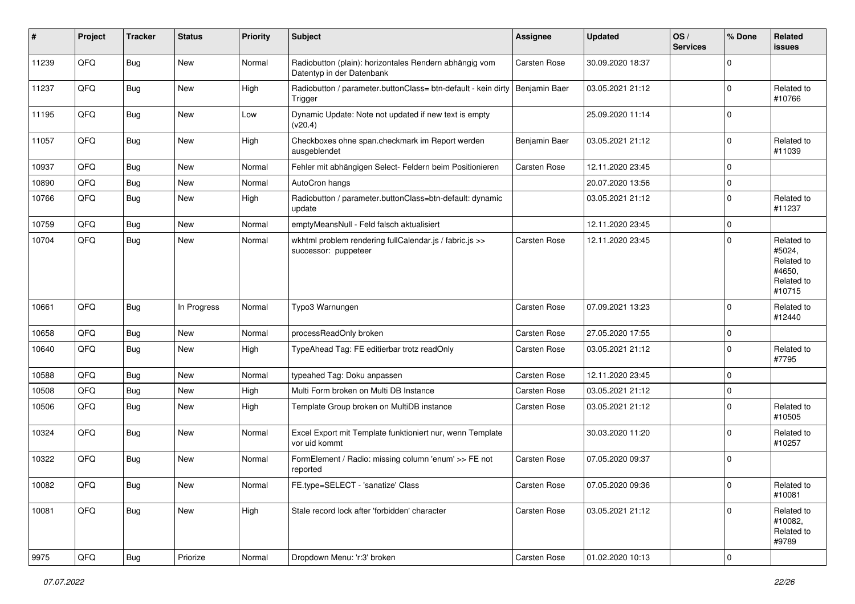| #     | Project | <b>Tracker</b> | <b>Status</b> | <b>Priority</b> | Subject                                                                                  | Assignee      | <b>Updated</b>   | OS/<br><b>Services</b> | % Done         | Related<br>issues                                                    |
|-------|---------|----------------|---------------|-----------------|------------------------------------------------------------------------------------------|---------------|------------------|------------------------|----------------|----------------------------------------------------------------------|
| 11239 | QFQ     | Bug            | New           | Normal          | Radiobutton (plain): horizontales Rendern abhängig vom<br>Datentyp in der Datenbank      | Carsten Rose  | 30.09.2020 18:37 |                        | $\Omega$       |                                                                      |
| 11237 | QFQ     | <b>Bug</b>     | New           | High            | Radiobutton / parameter.buttonClass= btn-default - kein dirty   Benjamin Baer<br>Trigger |               | 03.05.2021 21:12 |                        | $\mathbf 0$    | Related to<br>#10766                                                 |
| 11195 | QFQ     | <b>Bug</b>     | New           | Low             | Dynamic Update: Note not updated if new text is empty<br>(v20.4)                         |               | 25.09.2020 11:14 |                        | $\mathbf 0$    |                                                                      |
| 11057 | QFQ     | <b>Bug</b>     | New           | High            | Checkboxes ohne span.checkmark im Report werden<br>ausgeblendet                          | Benjamin Baer | 03.05.2021 21:12 |                        | $\mathbf 0$    | Related to<br>#11039                                                 |
| 10937 | QFQ     | <b>Bug</b>     | <b>New</b>    | Normal          | Fehler mit abhängigen Select- Feldern beim Positionieren                                 | Carsten Rose  | 12.11.2020 23:45 |                        | $\mathbf 0$    |                                                                      |
| 10890 | QFQ     | Bug            | <b>New</b>    | Normal          | AutoCron hangs                                                                           |               | 20.07.2020 13:56 |                        | 0              |                                                                      |
| 10766 | QFQ     | <b>Bug</b>     | <b>New</b>    | High            | Radiobutton / parameter.buttonClass=btn-default: dynamic<br>update                       |               | 03.05.2021 21:12 |                        | $\mathbf 0$    | Related to<br>#11237                                                 |
| 10759 | QFQ     | <b>Bug</b>     | New           | Normal          | emptyMeansNull - Feld falsch aktualisiert                                                |               | 12.11.2020 23:45 |                        | $\mathbf 0$    |                                                                      |
| 10704 | QFQ     | Bug            | New           | Normal          | wkhtml problem rendering fullCalendar.js / fabric.js >><br>successor: puppeteer          | Carsten Rose  | 12.11.2020 23:45 |                        | $\mathbf 0$    | Related to<br>#5024,<br>Related to<br>#4650,<br>Related to<br>#10715 |
| 10661 | QFQ     | Bug            | In Progress   | Normal          | Typo3 Warnungen                                                                          | Carsten Rose  | 07.09.2021 13:23 |                        | $\Omega$       | Related to<br>#12440                                                 |
| 10658 | QFQ     | <b>Bug</b>     | <b>New</b>    | Normal          | processReadOnly broken                                                                   | Carsten Rose  | 27.05.2020 17:55 |                        | $\mathbf 0$    |                                                                      |
| 10640 | QFQ     | <b>Bug</b>     | <b>New</b>    | High            | TypeAhead Tag: FE editierbar trotz readOnly                                              | Carsten Rose  | 03.05.2021 21:12 |                        | $\Omega$       | Related to<br>#7795                                                  |
| 10588 | QFQ     | <b>Bug</b>     | <b>New</b>    | Normal          | typeahed Tag: Doku anpassen                                                              | Carsten Rose  | 12.11.2020 23:45 |                        | $\Omega$       |                                                                      |
| 10508 | QFQ     | <b>Bug</b>     | <b>New</b>    | High            | Multi Form broken on Multi DB Instance                                                   | Carsten Rose  | 03.05.2021 21:12 |                        | $\mathbf 0$    |                                                                      |
| 10506 | QFQ     | <b>Bug</b>     | <b>New</b>    | High            | Template Group broken on MultiDB instance                                                | Carsten Rose  | 03.05.2021 21:12 |                        | $\mathbf 0$    | Related to<br>#10505                                                 |
| 10324 | QFQ     | <b>Bug</b>     | New           | Normal          | Excel Export mit Template funktioniert nur, wenn Template<br>vor uid kommt               |               | 30.03.2020 11:20 |                        | $\mathbf 0$    | Related to<br>#10257                                                 |
| 10322 | QFQ     | Bug            | <b>New</b>    | Normal          | FormElement / Radio: missing column 'enum' >> FE not<br>reported                         | Carsten Rose  | 07.05.2020 09:37 |                        | $\mathbf 0$    |                                                                      |
| 10082 | QFQ     | <b>Bug</b>     | I New         | Normal          | FE.type=SELECT - 'sanatize' Class                                                        | Carsten Rose  | 07.05.2020 09:36 |                        | O              | Related to<br>#10081                                                 |
| 10081 | QFQ     | Bug            | New           | High            | Stale record lock after 'forbidden' character                                            | Carsten Rose  | 03.05.2021 21:12 |                        | 0              | Related to<br>#10082,<br>Related to<br>#9789                         |
| 9975  | QFQ     | <b>Bug</b>     | Priorize      | Normal          | Dropdown Menu: 'r:3' broken                                                              | Carsten Rose  | 01.02.2020 10:13 |                        | $\overline{0}$ |                                                                      |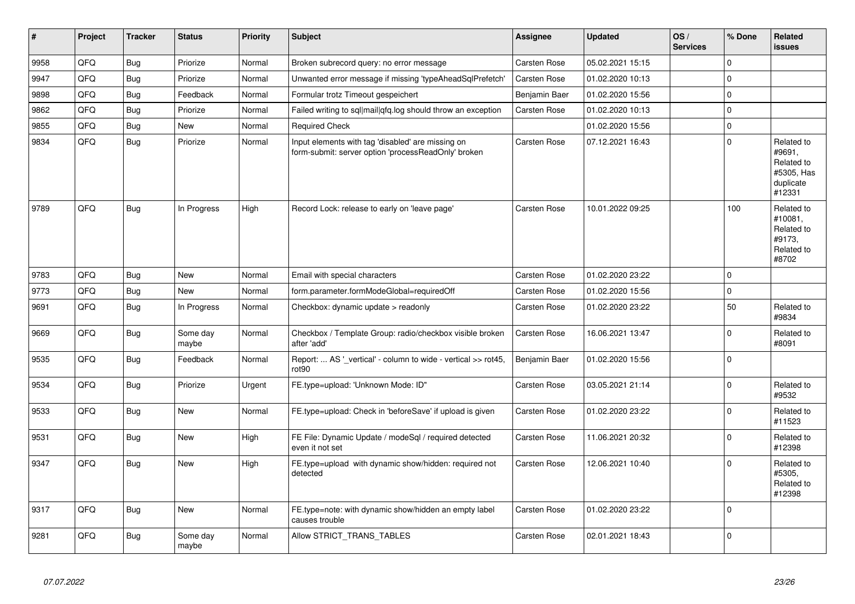| #    | Project | <b>Tracker</b> | <b>Status</b>     | <b>Priority</b> | <b>Subject</b>                                                                                           | Assignee      | <b>Updated</b>   | OS/<br><b>Services</b> | % Done       | Related<br><b>issues</b>                                                |
|------|---------|----------------|-------------------|-----------------|----------------------------------------------------------------------------------------------------------|---------------|------------------|------------------------|--------------|-------------------------------------------------------------------------|
| 9958 | QFQ     | Bug            | Priorize          | Normal          | Broken subrecord query: no error message                                                                 | Carsten Rose  | 05.02.2021 15:15 |                        | $\mathbf 0$  |                                                                         |
| 9947 | QFQ     | Bug            | Priorize          | Normal          | Unwanted error message if missing 'typeAheadSqlPrefetch'                                                 | Carsten Rose  | 01.02.2020 10:13 |                        | $\mathbf 0$  |                                                                         |
| 9898 | QFQ     | <b>Bug</b>     | Feedback          | Normal          | Formular trotz Timeout gespeichert                                                                       | Benjamin Baer | 01.02.2020 15:56 |                        | 0            |                                                                         |
| 9862 | QFQ     | Bug            | Priorize          | Normal          | Failed writing to sql mail qfq.log should throw an exception                                             | Carsten Rose  | 01.02.2020 10:13 |                        | $\mathbf 0$  |                                                                         |
| 9855 | QFQ     | Bug            | <b>New</b>        | Normal          | <b>Required Check</b>                                                                                    |               | 01.02.2020 15:56 |                        | $\mathsf 0$  |                                                                         |
| 9834 | QFQ     | <b>Bug</b>     | Priorize          | Normal          | Input elements with tag 'disabled' are missing on<br>form-submit: server option 'processReadOnly' broken | Carsten Rose  | 07.12.2021 16:43 |                        | $\mathbf 0$  | Related to<br>#9691,<br>Related to<br>#5305, Has<br>duplicate<br>#12331 |
| 9789 | QFQ     | Bug            | In Progress       | High            | Record Lock: release to early on 'leave page'                                                            | Carsten Rose  | 10.01.2022 09:25 |                        | 100          | Related to<br>#10081,<br>Related to<br>#9173,<br>Related to<br>#8702    |
| 9783 | QFQ     | Bug            | <b>New</b>        | Normal          | Email with special characters                                                                            | Carsten Rose  | 01.02.2020 23:22 |                        | $\mathbf 0$  |                                                                         |
| 9773 | QFQ     | Bug            | New               | Normal          | form.parameter.formModeGlobal=requiredOff                                                                | Carsten Rose  | 01.02.2020 15:56 |                        | $\mathbf 0$  |                                                                         |
| 9691 | QFQ     | Bug            | In Progress       | Normal          | Checkbox: dynamic update $>$ readonly                                                                    | Carsten Rose  | 01.02.2020 23:22 |                        | 50           | Related to<br>#9834                                                     |
| 9669 | QFQ     | Bug            | Some day<br>maybe | Normal          | Checkbox / Template Group: radio/checkbox visible broken<br>after 'add'                                  | Carsten Rose  | 16.06.2021 13:47 |                        | $\mathbf 0$  | Related to<br>#8091                                                     |
| 9535 | QFQ     | Bug            | Feedback          | Normal          | Report:  AS '_vertical' - column to wide - vertical >> rot45,<br>rot <sub>90</sub>                       | Benjamin Baer | 01.02.2020 15:56 |                        | $\Omega$     |                                                                         |
| 9534 | QFQ     | <b>Bug</b>     | Priorize          | Urgent          | FE.type=upload: 'Unknown Mode: ID"                                                                       | Carsten Rose  | 03.05.2021 21:14 |                        | $\mathbf{0}$ | Related to<br>#9532                                                     |
| 9533 | QFQ     | Bug            | <b>New</b>        | Normal          | FE.type=upload: Check in 'beforeSave' if upload is given                                                 | Carsten Rose  | 01.02.2020 23:22 |                        | $\mathbf 0$  | Related to<br>#11523                                                    |
| 9531 | QFQ     | <b>Bug</b>     | <b>New</b>        | High            | FE File: Dynamic Update / modeSql / required detected<br>even it not set                                 | Carsten Rose  | 11.06.2021 20:32 |                        | $\mathbf 0$  | Related to<br>#12398                                                    |
| 9347 | QFQ     | <b>Bug</b>     | <b>New</b>        | High            | FE.type=upload with dynamic show/hidden: required not<br>detected                                        | Carsten Rose  | 12.06.2021 10:40 |                        | $\Omega$     | Related to<br>#5305,<br>Related to<br>#12398                            |
| 9317 | QFQ     | Bug            | <b>New</b>        | Normal          | FE.type=note: with dynamic show/hidden an empty label<br>causes trouble                                  | Carsten Rose  | 01.02.2020 23:22 |                        | $\mathbf 0$  |                                                                         |
| 9281 | QFQ     | <b>Bug</b>     | Some day<br>maybe | Normal          | Allow STRICT TRANS TABLES                                                                                | Carsten Rose  | 02.01.2021 18:43 |                        | $\mathbf 0$  |                                                                         |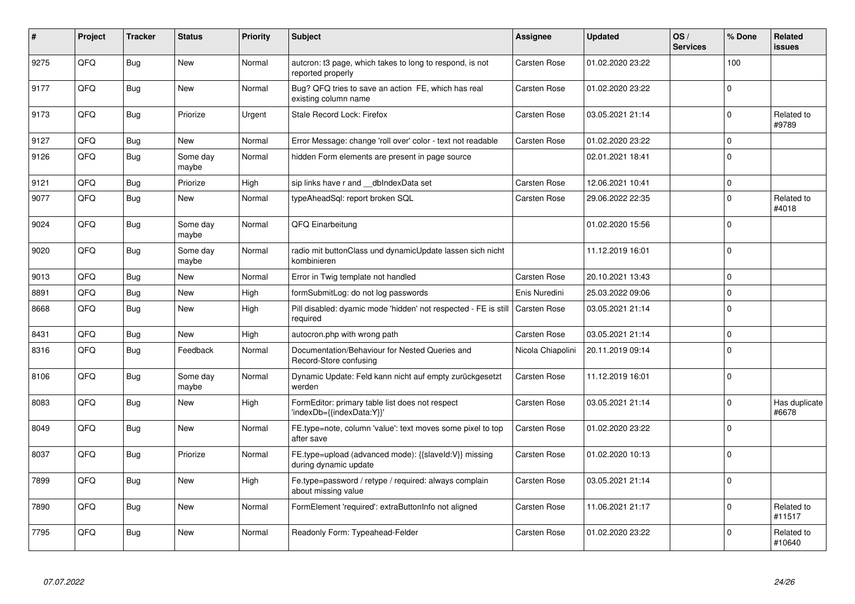| #    | Project | <b>Tracker</b> | <b>Status</b>     | <b>Priority</b> | <b>Subject</b>                                                                             | <b>Assignee</b>     | <b>Updated</b>   | OS/<br><b>Services</b> | % Done      | Related<br><b>issues</b> |
|------|---------|----------------|-------------------|-----------------|--------------------------------------------------------------------------------------------|---------------------|------------------|------------------------|-------------|--------------------------|
| 9275 | QFQ     | Bug            | <b>New</b>        | Normal          | auteron: t3 page, which takes to long to respond, is not<br>reported properly              | Carsten Rose        | 01.02.2020 23:22 |                        | 100         |                          |
| 9177 | QFQ     | <b>Bug</b>     | <b>New</b>        | Normal          | Bug? QFQ tries to save an action FE, which has real<br>existing column name                | <b>Carsten Rose</b> | 01.02.2020 23:22 |                        | $\Omega$    |                          |
| 9173 | QFQ     | Bug            | Priorize          | Urgent          | Stale Record Lock: Firefox                                                                 | <b>Carsten Rose</b> | 03.05.2021 21:14 |                        | $\Omega$    | Related to<br>#9789      |
| 9127 | QFQ     | <b>Bug</b>     | <b>New</b>        | Normal          | Error Message: change 'roll over' color - text not readable                                | Carsten Rose        | 01.02.2020 23:22 |                        | $\Omega$    |                          |
| 9126 | QFQ     | Bug            | Some day<br>maybe | Normal          | hidden Form elements are present in page source                                            |                     | 02.01.2021 18:41 |                        | $\Omega$    |                          |
| 9121 | QFQ     | Bug            | Priorize          | High            | sip links have r and dblndexData set                                                       | Carsten Rose        | 12.06.2021 10:41 |                        | $\Omega$    |                          |
| 9077 | QFQ     | Bug            | <b>New</b>        | Normal          | typeAheadSgl: report broken SQL                                                            | <b>Carsten Rose</b> | 29.06.2022 22:35 |                        | $\Omega$    | Related to<br>#4018      |
| 9024 | QFQ     | <b>Bug</b>     | Some day<br>maybe | Normal          | QFQ Einarbeitung                                                                           |                     | 01.02.2020 15:56 |                        | $\Omega$    |                          |
| 9020 | QFQ     | <b>Bug</b>     | Some day<br>maybe | Normal          | radio mit buttonClass und dynamicUpdate lassen sich nicht<br>kombinieren                   |                     | 11.12.2019 16:01 |                        | $\Omega$    |                          |
| 9013 | QFQ     | Bug            | <b>New</b>        | Normal          | Error in Twig template not handled                                                         | <b>Carsten Rose</b> | 20.10.2021 13:43 |                        | $\mathbf 0$ |                          |
| 8891 | QFQ     | Bug            | <b>New</b>        | High            | formSubmitLog: do not log passwords                                                        | Enis Nuredini       | 25.03.2022 09:06 |                        | $\Omega$    |                          |
| 8668 | QFQ     | Bug            | New               | High            | Pill disabled: dyamic mode 'hidden' not respected - FE is still   Carsten Rose<br>required |                     | 03.05.2021 21:14 |                        | $\Omega$    |                          |
| 8431 | QFQ     | Bug            | <b>New</b>        | High            | autocron.php with wrong path                                                               | <b>Carsten Rose</b> | 03.05.2021 21:14 |                        | $\Omega$    |                          |
| 8316 | QFQ     | Bug            | Feedback          | Normal          | Documentation/Behaviour for Nested Queries and<br>Record-Store confusing                   | Nicola Chiapolini   | 20.11.2019 09:14 |                        | $\Omega$    |                          |
| 8106 | QFQ     | <b>Bug</b>     | Some day<br>maybe | Normal          | Dynamic Update: Feld kann nicht auf empty zurückgesetzt<br>werden                          | <b>Carsten Rose</b> | 11.12.2019 16:01 |                        | $\Omega$    |                          |
| 8083 | QFQ     | Bug            | <b>New</b>        | High            | FormEditor: primary table list does not respect<br>'indexDb={{indexData:Y}}'               | <b>Carsten Rose</b> | 03.05.2021 21:14 |                        | $\Omega$    | Has duplicate<br>#6678   |
| 8049 | QFQ     | <b>Bug</b>     | <b>New</b>        | Normal          | FE.type=note, column 'value': text moves some pixel to top<br>after save                   | <b>Carsten Rose</b> | 01.02.2020 23:22 |                        | $\Omega$    |                          |
| 8037 | QFQ     | <b>Bug</b>     | Priorize          | Normal          | FE.type=upload (advanced mode): {{slaveld:V}} missing<br>during dynamic update             | <b>Carsten Rose</b> | 01.02.2020 10:13 |                        | $\Omega$    |                          |
| 7899 | QFQ     | Bug            | <b>New</b>        | High            | Fe.type=password / retype / required: always complain<br>about missing value               | <b>Carsten Rose</b> | 03.05.2021 21:14 |                        | $\Omega$    |                          |
| 7890 | QFQ     | Bug            | <b>New</b>        | Normal          | FormElement 'required': extraButtonInfo not aligned                                        | Carsten Rose        | 11.06.2021 21:17 |                        | $\Omega$    | Related to<br>#11517     |
| 7795 | QFQ     | Bug            | <b>New</b>        | Normal          | Readonly Form: Typeahead-Felder                                                            | Carsten Rose        | 01.02.2020 23:22 |                        | $\Omega$    | Related to<br>#10640     |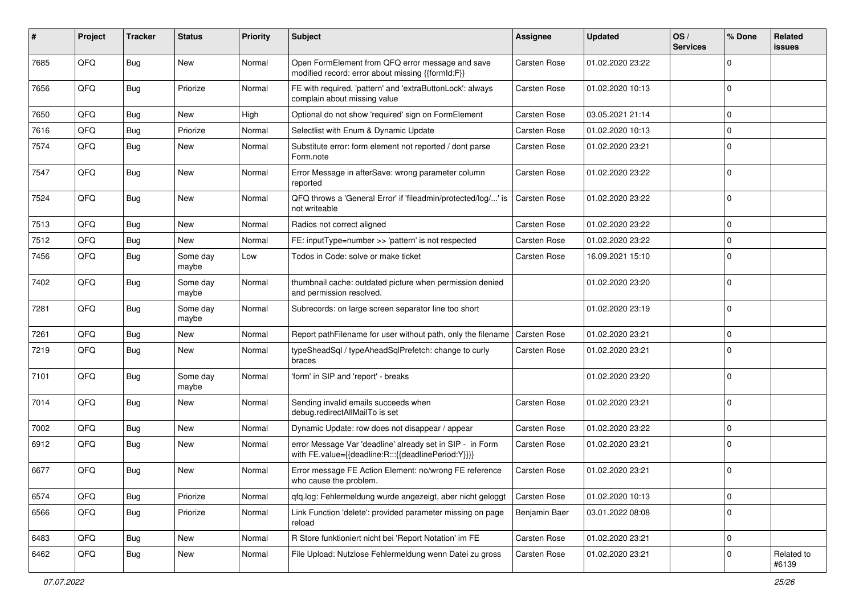| #    | Project | <b>Tracker</b> | <b>Status</b>     | Priority | Subject                                                                                                          | <b>Assignee</b>     | <b>Updated</b>   | OS/<br><b>Services</b> | % Done      | Related<br><b>issues</b> |
|------|---------|----------------|-------------------|----------|------------------------------------------------------------------------------------------------------------------|---------------------|------------------|------------------------|-------------|--------------------------|
| 7685 | QFQ     | <b>Bug</b>     | New               | Normal   | Open FormElement from QFQ error message and save<br>modified record: error about missing {{formId:F}}            | <b>Carsten Rose</b> | 01.02.2020 23:22 |                        | $\Omega$    |                          |
| 7656 | QFQ     | Bug            | Priorize          | Normal   | FE with required, 'pattern' and 'extraButtonLock': always<br>complain about missing value                        | <b>Carsten Rose</b> | 01.02.2020 10:13 |                        | $\mathbf 0$ |                          |
| 7650 | QFQ     | Bug            | New               | High     | Optional do not show 'required' sign on FormElement                                                              | <b>Carsten Rose</b> | 03.05.2021 21:14 |                        | $\mathbf 0$ |                          |
| 7616 | QFQ     | Bug            | Priorize          | Normal   | Selectlist with Enum & Dynamic Update                                                                            | Carsten Rose        | 01.02.2020 10:13 |                        | $\mathbf 0$ |                          |
| 7574 | QFQ     | Bug            | New               | Normal   | Substitute error: form element not reported / dont parse<br>Form.note                                            | Carsten Rose        | 01.02.2020 23:21 |                        | $\mathbf 0$ |                          |
| 7547 | QFQ     | <b>Bug</b>     | New               | Normal   | Error Message in afterSave: wrong parameter column<br>reported                                                   | <b>Carsten Rose</b> | 01.02.2020 23:22 |                        | $\mathbf 0$ |                          |
| 7524 | QFQ     | <b>Bug</b>     | <b>New</b>        | Normal   | QFQ throws a 'General Error' if 'fileadmin/protected/log/' is<br>not writeable                                   | Carsten Rose        | 01.02.2020 23:22 |                        | $\mathbf 0$ |                          |
| 7513 | QFQ     | Bug            | New               | Normal   | Radios not correct aligned                                                                                       | <b>Carsten Rose</b> | 01.02.2020 23:22 |                        | $\mathbf 0$ |                          |
| 7512 | QFQ     | <b>Bug</b>     | New               | Normal   | FE: inputType=number >> 'pattern' is not respected                                                               | Carsten Rose        | 01.02.2020 23:22 |                        | $\mathbf 0$ |                          |
| 7456 | QFQ     | Bug            | Some day<br>maybe | Low      | Todos in Code: solve or make ticket                                                                              | Carsten Rose        | 16.09.2021 15:10 |                        | $\Omega$    |                          |
| 7402 | QFQ     | <b>Bug</b>     | Some day<br>maybe | Normal   | thumbnail cache: outdated picture when permission denied<br>and permission resolved.                             |                     | 01.02.2020 23:20 |                        | $\mathbf 0$ |                          |
| 7281 | QFQ     | Bug            | Some day<br>maybe | Normal   | Subrecords: on large screen separator line too short                                                             |                     | 01.02.2020 23:19 |                        | $\mathbf 0$ |                          |
| 7261 | QFQ     | Bug            | New               | Normal   | Report pathFilename for user without path, only the filename                                                     | <b>Carsten Rose</b> | 01.02.2020 23:21 |                        | $\mathbf 0$ |                          |
| 7219 | QFQ     | <b>Bug</b>     | New               | Normal   | typeSheadSql / typeAheadSqlPrefetch: change to curly<br>braces                                                   | <b>Carsten Rose</b> | 01.02.2020 23:21 |                        | $\mathbf 0$ |                          |
| 7101 | QFQ     | <b>Bug</b>     | Some day<br>maybe | Normal   | 'form' in SIP and 'report' - breaks                                                                              |                     | 01.02.2020 23:20 |                        | $\mathbf 0$ |                          |
| 7014 | QFQ     | Bug            | New               | Normal   | Sending invalid emails succeeds when<br>debug.redirectAllMailTo is set                                           | <b>Carsten Rose</b> | 01.02.2020 23:21 |                        | $\mathbf 0$ |                          |
| 7002 | QFQ     | Bug            | <b>New</b>        | Normal   | Dynamic Update: row does not disappear / appear                                                                  | Carsten Rose        | 01.02.2020 23:22 |                        | $\mathbf 0$ |                          |
| 6912 | QFQ     | <b>Bug</b>     | New               | Normal   | error Message Var 'deadline' already set in SIP - in Form<br>with FE.value={{deadline:R:::{{deadlinePeriod:Y}}}} | Carsten Rose        | 01.02.2020 23:21 |                        | $\mathbf 0$ |                          |
| 6677 | QFQ     | Bug            | <b>New</b>        | Normal   | Error message FE Action Element: no/wrong FE reference<br>who cause the problem.                                 | Carsten Rose        | 01.02.2020 23:21 |                        | $\mathbf 0$ |                          |
| 6574 | QFQ     | Bug            | Priorize          | Normal   | qfq.log: Fehlermeldung wurde angezeigt, aber nicht geloggt                                                       | Carsten Rose        | 01.02.2020 10:13 |                        | $\mathbf 0$ |                          |
| 6566 | QFQ     | <b>Bug</b>     | Priorize          | Normal   | Link Function 'delete': provided parameter missing on page<br>reload                                             | Benjamin Baer       | 03.01.2022 08:08 |                        | $\mathbf 0$ |                          |
| 6483 | QFQ     | <b>Bug</b>     | New               | Normal   | R Store funktioniert nicht bei 'Report Notation' im FE                                                           | Carsten Rose        | 01.02.2020 23:21 |                        | $\pmb{0}$   |                          |
| 6462 | QFQ     | <b>Bug</b>     | New               | Normal   | File Upload: Nutzlose Fehlermeldung wenn Datei zu gross                                                          | Carsten Rose        | 01.02.2020 23:21 |                        | $\mathbf 0$ | Related to<br>#6139      |